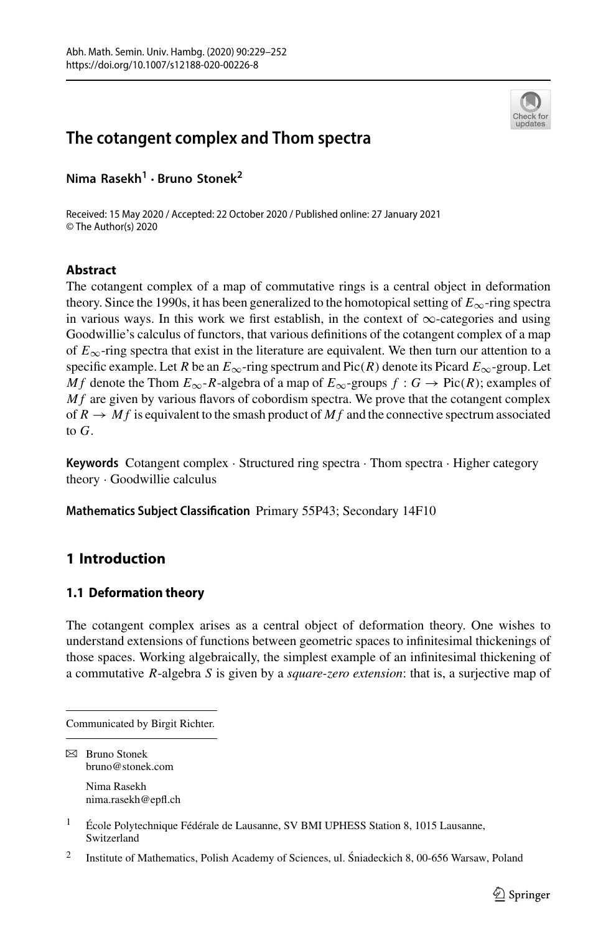



Received: 15 May 2020 / Accepted: 22 October 2020 / Published online: 27 January 2021 © The Author(s) 2020

# **Abstract**

The cotangent complex of a map of commutative rings is a central object in deformation theory. Since the 1990s, it has been generalized to the homotopical setting of  $E_{\infty}$ -ring spectra in various ways. In this work we first establish, in the context of  $\infty$ -categories and using Goodwillie's calculus of functors, that various definitions of the cotangent complex of a map of  $E_{\infty}$ -ring spectra that exist in the literature are equivalent. We then turn our attention to a specific example. Let *R* be an  $E_{\infty}$ -ring spectrum and Pic(*R*) denote its Picard  $E_{\infty}$ -group. Let *Mf* denote the Thom  $E_{\infty}$ -*R*-algebra of a map of  $E_{\infty}$ -groups  $f : G \to Pic(R)$ ; examples of *M f* are given by various flavors of cobordism spectra. We prove that the cotangent complex of  $R \to Mf$  is equivalent to the smash product of  $Mf$  and the connective spectrum associated to *G*.

**Keywords** Cotangent complex · Structured ring spectra · Thom spectra · Higher category theory · Goodwillie calculus

**Mathematics Subject Classification** Primary 55P43; Secondary 14F10

# **1 Introduction**

# **1.1 Deformation theory**

The cotangent complex arises as a central object of deformation theory. One wishes to understand extensions of functions between geometric spaces to infinitesimal thickenings of those spaces. Working algebraically, the simplest example of an infinitesimal thickening of a commutative *R*-algebra *S* is given by a *square-zero extension*: that is, a surjective map of



Communicated by Birgit Richter.

 $\boxtimes$  Bruno Stonek bruno@stonek.com

Nima Rasekh nima.rasekh@epfl.ch

<sup>&</sup>lt;sup>1</sup> École Polytechnique Fédérale de Lausanne, SV BMI UPHESS Station 8, 1015 Lausanne, Switzerland

<sup>2</sup> Institute of Mathematics, Polish Academy of Sciences, ul. Sniadeckich 8, 00-656 Warsaw, Poland ´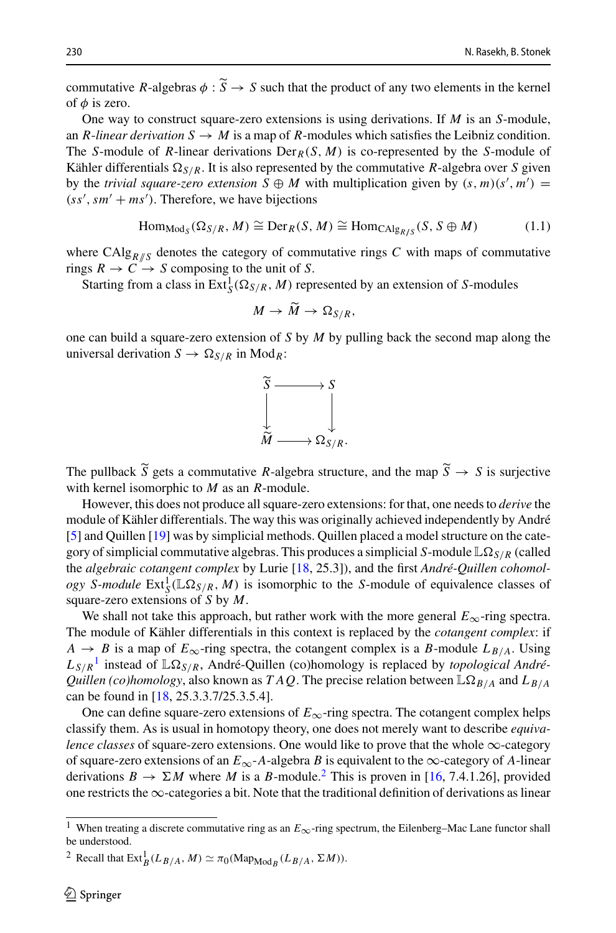230<br> **Commutative** *R***-algebras**  $\phi : \widetilde{S} \to S$  **such that the product of any two elements in the kernel**<br>
230<br>
230<br>
230<br>
24 - *S* such that the product of any two elements in the kernel of  $\phi$  is zero.

One way to construct square-zero extensions is using derivations. If *M* is an *S*-module, an *R*-linear derivation  $S \to M$  is a map of *R*-modules which satisfies the Leibniz condition. The *S*-module of *R*-linear derivations  $Der_R(S, M)$  is co-represented by the *S*-module of Kähler differentials  $\Omega_{S/R}$ . It is also represented by the commutative *R*-algebra over *S* given by the *trivial square-zero extension*  $S \oplus M$  with multiplication given by  $(s, m)(s', m') =$  $(s\ s',\ sm' + ms')$ . Therefore, we have bijections

<span id="page-1-2"></span>
$$
\text{Hom}_{\text{Mod}_S}(\Omega_{S/R}, M) \cong \text{Der}_R(S, M) \cong \text{Hom}_{\text{CAlg}_{R/S}}(S, S \oplus M) \tag{1.1}
$$

where  $CAlg_{R/S}$  denotes the category of commutative rings  $C$  with maps of commutative rings  $R \to C \to S$  composing to the unit of *S*. *M* or co<br> *M*  $\frac{N}{R}$ , *M*  $\frac{N}{M}$ 

Starting from a class in  $\text{Ext}^1_S(\Omega_{S/R}, M)$  represented by an extension of *S*-modules

$$
M \to \tilde{M} \to \Omega_{S/R},
$$

one can build a square-zero extension of *S* by *M* by pulling back the second map along the universal derivation  $S \to \Omega_{S/R}$  in Mod<sub>R</sub>:



 $\overrightarrow{\widetilde{M}} \longrightarrow \Omega_{S/R}.$ <br>The pullback  $\widetilde{S}$  gets a commutative *R*-algebra structure, and the map  $\widetilde{S} \rightarrow S$  is surjective with kernel isomorphic to *M* as an *R*-module.

However, this does not produce all square-zero extensions: for that, one needs to *derive* the module of Kähler differentials. The way this was originally achieved independently by André [\[5](#page-23-0)] and Quillen [\[19](#page-23-1)] was by simplicial methods. Quillen placed a model structure on the category of simplicial commutative algebras. This produces a simplicial *S*-module  $\mathbb{L}\Omega_{S/R}$  (called the *algebraic cotangent complex* by Lurie [\[18,](#page-23-2) 25.3]), and the first *André-Quillen cohomology S-module*  $Ext_S^1(\mathbb{L}\Omega_{S/R}, M)$  is isomorphic to the *S*-module of equivalence classes of square-zero extensions of *S* by *M*.

We shall not take this approach, but rather work with the more general *E*∞-ring spectra. The module of Kähler differentials in this context is replaced by the *cotangent complex*: if  $A \rightarrow B$  is a map of  $E_{\infty}$ -ring spectra, the cotangent complex is a *B*-module  $L_{B/A}$ . Using *LS*/*<sup>R</sup>* [1](#page-1-0) instead of L*S*/*R*, André-Quillen (co)homology is replaced by *topological André-Quillen (co)homology*, also known as *T A Q*. The precise relation between  $\mathbb{L}\Omega_{B/A}$  and  $L_{B/A}$ can be found in [\[18,](#page-23-2) 25.3.3.7/25.3.5.4].

One can define square-zero extensions of  $E_{\infty}$ -ring spectra. The cotangent complex helps classify them. As is usual in homotopy theory, one does not merely want to describe *equivalence classes* of square-zero extensions. One would like to prove that the whole  $\infty$ -category of square-zero extensions of an  $E_{\infty}$ -*A*-algebra *B* is equivalent to the  $\infty$ -category of *A*-linear derivations  $B \to \Sigma M$  where M is a B-module.<sup>[2](#page-1-1)</sup> This is proven in [\[16,](#page-23-3) 7.4.1.26], provided one restricts the  $\infty$ -categories a bit. Note that the traditional definition of derivations as linear

<span id="page-1-0"></span><sup>1</sup> When treating a discrete commutative ring as an *<sup>E</sup>*∞-ring spectrum, the Eilenberg–Mac Lane functor shall be understood.

<span id="page-1-1"></span><sup>&</sup>lt;sup>2</sup> Recall that  $\text{Ext}_{B}^{1}(L_{B/A}, M) \simeq \pi_{0}(\text{Map}_{\text{Mod}_{B}}(L_{B/A}, \Sigma M)).$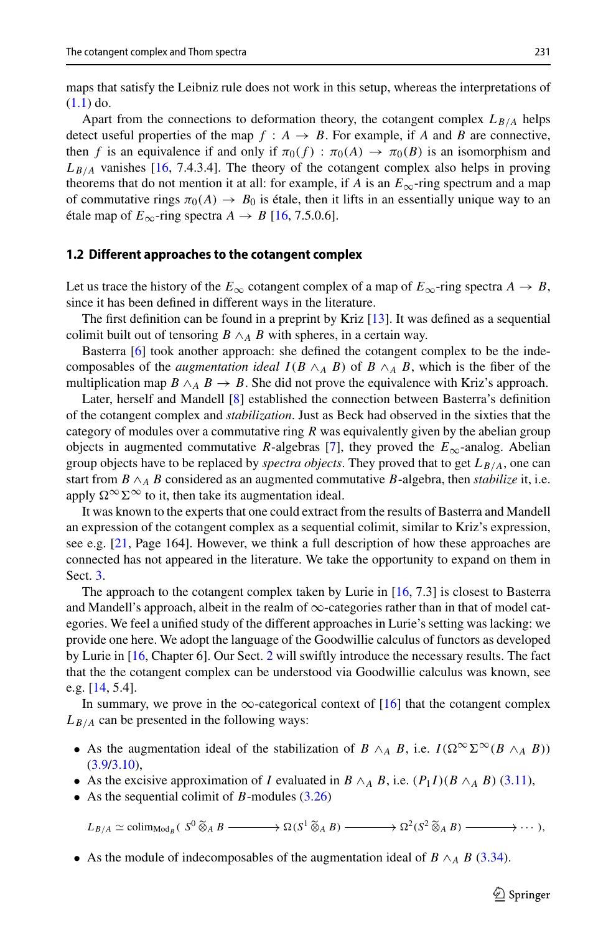maps that satisfy the Leibniz rule does not work in this setup, whereas the interpretations of  $(1.1)$  do.

Apart from the connections to deformation theory, the cotangent complex  $L_{B/A}$  helps detect useful properties of the map  $f : A \rightarrow B$ . For example, if *A* and *B* are connective, then *f* is an equivalence if and only if  $\pi_0(f)$  :  $\pi_0(A) \to \pi_0(B)$  is an isomorphism and  $L_{B/A}$  vanishes [\[16](#page-23-3), 7.4.3.4]. The theory of the cotangent complex also helps in proving theorems that do not mention it at all: for example, if *A* is an  $E_{\infty}$ -ring spectrum and a map of commutative rings  $\pi_0(A) \to B_0$  is étale, then it lifts in an essentially unique way to an étale map of  $E_{\infty}$ -ring spectra  $A \rightarrow B$  [\[16,](#page-23-3) 7.5.0.6].

### **1.2 Different approaches to the cotangent complex**

Let us trace the history of the  $E_{\infty}$  cotangent complex of a map of  $E_{\infty}$ -ring spectra  $A \to B$ , since it has been defined in different ways in the literature.

The first definition can be found in a preprint by Kriz [\[13\]](#page-23-4). It was defined as a sequential colimit built out of tensoring  $B \wedge_A B$  with spheres, in a certain way.

Basterra [\[6](#page-23-5)] took another approach: she defined the cotangent complex to be the indecomposables of the *augmentation ideal*  $I(B \wedge_A B)$  of  $B \wedge_A B$ , which is the fiber of the multiplication map  $B \wedge_A B \to B$ . She did not prove the equivalence with Kriz's approach.

Later, herself and Mandell [\[8](#page-23-6)] established the connection between Basterra's definition of the cotangent complex and *stabilization*. Just as Beck had observed in the sixties that the category of modules over a commutative ring *R* was equivalently given by the abelian group objects in augmented commutative *R*-algebras [\[7\]](#page-23-7), they proved the  $E_{\infty}$ -analog. Abelian group objects have to be replaced by *spectra objects*. They proved that to get  $L_{B/A}$ , one can start from  $B \wedge_A B$  considered as an augmented commutative  $B$ -algebra, then *stabilize* it, i.e. apply  $\Omega^{\infty} \Sigma^{\infty}$  to it, then take its augmentation ideal.

It was known to the experts that one could extract from the results of Basterra and Mandell an expression of the cotangent complex as a sequential colimit, similar to Kriz's expression, see e.g. [\[21](#page-23-8), Page 164]. However, we think a full description of how these approaches are connected has not appeared in the literature. We take the opportunity to expand on them in Sect. [3.](#page-5-0)

The approach to the cotangent complex taken by Lurie in [\[16,](#page-23-3) 7.3] is closest to Basterra and Mandell's approach, albeit in the realm of  $\infty$ -categories rather than in that of model categories. We feel a unified study of the different approaches in Lurie's setting was lacking: we provide one here. We adopt the language of the Goodwillie calculus of functors as developed by Lurie in [\[16,](#page-23-3) Chapter 6]. Our Sect. [2](#page-4-0) will swiftly introduce the necessary results. The fact that the the cotangent complex can be understood via Goodwillie calculus was known, see e.g. [\[14,](#page-23-9) 5.4].

In summary, we prove in the  $\infty$ -categorical context of [\[16](#page-23-3)] that the cotangent complex  $L_{B/A}$  can be presented in the following ways:

- As the augmentation ideal of the stabilization of *B*  $\wedge_A$  *B*, i.e. *I*( $\Omega^{\infty} \Sigma^{\infty} (B \wedge_A B)$ )  $(3.9/3.10),$  $(3.9/3.10),$  $(3.9/3.10),$
- As the excisive approximation of *I* evaluated in  $B \wedge_A B$ , i.e.  $(P_1 I)(B \wedge_A B)$  [\(3.11\)](#page-7-1),
- As the sequential colimit of *B*-modules [\(3.26\)](#page-11-0)

As the excisive approximation of *I* evaluated in *B*  $\wedge_A$  *B*, i.e.  $(P_1I)(B \wedge_A B)$  (3.11),<br> *As* the sequential colimit of *B*-modules (3.26)<br>  $L_{B/A} \simeq \text{colim}_{\text{Mod}_B} (S^0 \widetilde{\otimes}_A B \longrightarrow \Omega (S^1 \widetilde{\otimes}_A B) \longrightarrow \Omega^2 (S^2 \widetilde{\otimes}_A$ 

• As the module of indecomposables of the augmentation ideal of  $B \wedge_A B$  [\(3.34\)](#page-15-0).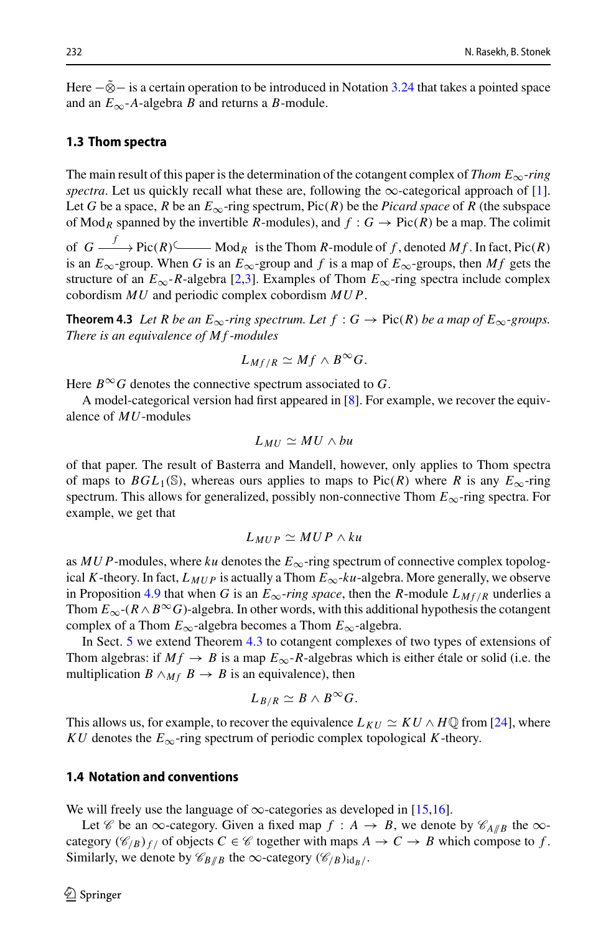Here  $-\tilde{\otimes}$  is a certain operation to be introduced in Notation [3.24](#page-10-0) that takes a pointed space and an  $E_{\infty}$ -*A*-algebra *B* and returns a *B*-module.

### **1.3 Thom spectra**

The main result of this paper is the determination of the cotangent complex of *Thom E*<sub>∞</sub>-*ring spectra*. Let us quickly recall what these are, following the  $\infty$ -categorical approach of [\[1\]](#page-22-0). Let *G* be a space, *R* be an  $E_{\infty}$ -ring spectrum, Pic(*R*) be the *Picard space* of *R* (the subspace of Mod<sub>R</sub> spanned by the invertible R-modules), and  $f : G \to Pic(R)$  be a map. The colimit

of  $G \longrightarrow$ Pic $(R)$ <sup> $\longleftarrow$ </sup>Mod<sub>*R*</sub> is the Thom *R*-module of *f*, denoted *Mf*. In fact, Pic $(R)$ is an  $E_{\infty}$ -group. When *G* is an  $E_{\infty}$ -group and *f* is a map of  $E_{\infty}$ -groups, then *Mf* gets the structure of an  $E_{\infty}$ -*R*-algebra [\[2](#page-22-1)[,3](#page-23-10)]. Examples of Thom  $E_{\infty}$ -ring spectra include complex cobordism *MU* and periodic complex cobordism *MU P*.

**Theorem 4.3** Let R be an  $E_{\infty}$ -ring spectrum. Let  $f : G \to Pic(R)$  be a map of  $E_{\infty}$ -groups. *There is an equivalence of M f -modules*

$$
L_{Mf/R}\simeq Mf\wedge B^{\infty}G.
$$

Here  $B^{\infty}G$  denotes the connective spectrum associated to G.

A model-categorical version had first appeared in [\[8](#page-23-6)]. For example, we recover the equivalence of *MU*-modules

$$
L_{MU} \simeq MU \wedge bu
$$

of that paper. The result of Basterra and Mandell, however, only applies to Thom spectra of maps to  $BGL_1(\mathbb{S})$ , whereas ours applies to maps to Pic(*R*) where *R* is any  $E_{\infty}$ -ring spectrum. This allows for generalized, possibly non-connective Thom *E*∞-ring spectra. For example, we get that

$$
L_{MUP} \simeq MUP \wedge ku
$$

as  $MUP$ -modules, where  $ku$  denotes the  $E_{\infty}$ -ring spectrum of connective complex topological *K*-theory. In fact,  $L_{MUP}$  is actually a Thom  $E_{\infty}$ -*ku*-algebra. More generally, we observe in Proposition [4.9](#page-19-0) that when *G* is an  $E_{\infty}$ -*ring space*, then the *R*-module  $L_{Mf/R}$  underlies a Thom  $E_{\infty}$ -( $R \wedge B^{\infty}G$ )-algebra. In other words, with this additional hypothesis the cotangent complex of a Thom  $E_{\infty}$ -algebra becomes a Thom  $E_{\infty}$ -algebra.

In Sect. [5](#page-20-0) we extend Theorem [4.3](#page-17-0) to cotangent complexes of two types of extensions of Thom algebras: if  $Mf \rightarrow B$  is a map  $E_{\infty}$ -*R*-algebras which is either étale or solid (i.e. the multiplication *B*  $\wedge_{M}$  *B*  $\rightarrow$  *B* is an equivalence), then

$$
L_{B/R}\simeq B\wedge B^{\infty}G.
$$

This allows us, for example, to recover the equivalence  $L_{KU} \simeq KU \wedge H\mathbb{Q}$  from [\[24](#page-23-11)], where *KU* denotes the  $E_{\infty}$ -ring spectrum of periodic complex topological *K*-theory.

### **1.4 Notation and conventions**

We will freely use the language of  $\infty$ -categories as developed in [\[15](#page-23-12)[,16\]](#page-23-3).

Let *C* be an  $\infty$ -category. Given a fixed map  $f : A \rightarrow B$ , we denote by  $\mathcal{C}_{A/B}$  the  $\infty$ category  $(\mathcal{C}_{/B})_{f/}$  of objects  $C \in \mathcal{C}$  together with maps  $A \to C \to B$  which compose to f. Similarly, we denote by  $\mathcal{C}_{B/B}$  the  $\infty$ -category  $(\mathcal{C}_{/B})_{id_B/}$ .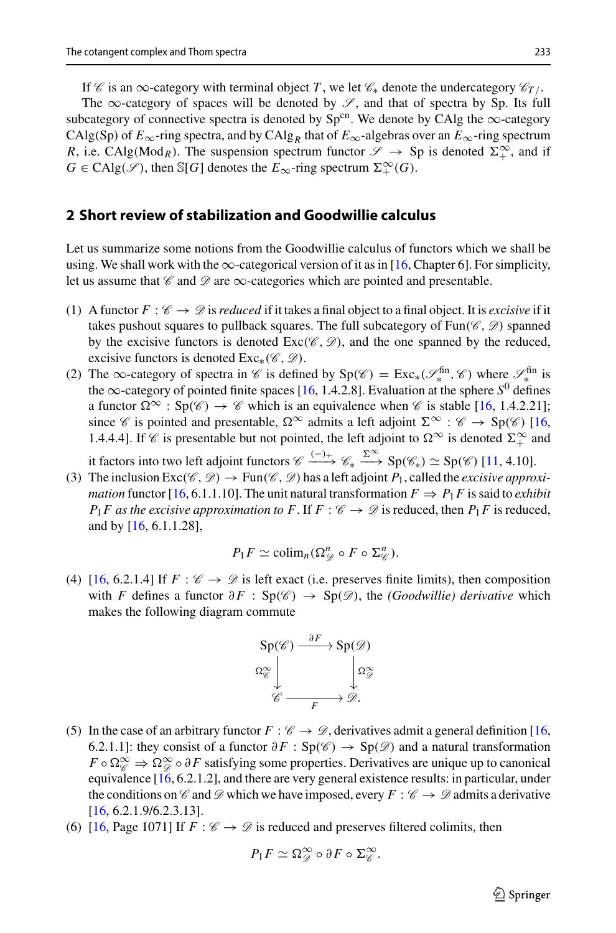The  $\infty$ -category of spaces will be denoted by  $\mathscr{S}$ , and that of spectra by Sp. Its full subcategory of connective spectra is denoted by Sp<sup>cn</sup>. We denote by CAlg the  $\infty$ -category CAlg(Sp) of  $E_{\infty}$ -ring spectra, and by CAlg<sub>R</sub> that of  $E_{\infty}$ -algebras over an  $E_{\infty}$ -ring spectrum *R*, i.e. CAlg(Mod<sub>*R*</sub>). The suspension spectrum functor  $\mathscr{S} \to \text{Sp}$  is denoted  $\Sigma_+^{\infty}$ , and if  $G \in \text{CAlg}(\mathscr{S})$ , then S[*G*] denotes the  $E_{\infty}$ -ring spectrum  $\Sigma^{\infty}_+(G)$ .

### <span id="page-4-0"></span>**2 Short review of stabilization and Goodwillie calculus**

Let us summarize some notions from the Goodwillie calculus of functors which we shall be using. We shall work with the  $\infty$ -categorical version of it as in [\[16](#page-23-3), Chapter 6]. For simplicity, let us assume that  $\mathscr C$  and  $\mathscr D$  are  $\infty$ -categories which are pointed and presentable.

- (1) A functor  $F: \mathcal{C} \to \mathcal{D}$  is *reduced* if it takes a final object to a final object. It is *excisive* if it takes pushout squares to pullback squares. The full subcategory of  $Fun(\mathcal{C}, \mathcal{D})$  spanned by the excisive functors is denoted  $Exc( $\mathscr{C}, \mathscr{D}$ ), and the one spanned by the reduced,$ excisive functors is denoted Exc∗(*C* , *D*).
- (2) The ∞-category of spectra in *C* is defined by  $Sp(\mathscr{C}) = Exc_*(\mathscr{S}_*^{\text{fin}}, \mathscr{C})$  where  $\mathscr{S}_*^{\text{fin}}$  is the  $\infty$ -category of pointed finite spaces [\[16,](#page-23-3) 1.4.2.8]. Evaluation at the sphere  $S^0$  defines a functor  $\Omega^{\infty}$ :  $Sp(\mathscr{C}) \to \mathscr{C}$  which is an equivalence when  $\mathscr{C}$  is stable [\[16](#page-23-3), 1.4.2.21]; since *C* is pointed and presentable,  $\Omega^{\infty}$  admits a left adjoint  $\Sigma^{\infty}$  : *C*  $\rightarrow$  Sp(*C*) [\[16,](#page-23-3) 1.4.4.4]. If *C* is presentable but not pointed, the left adjoint to  $\Omega^{\infty}$  is denoted  $\Sigma^{\infty}$  and

it factors into two left adjoint functors  $\mathcal{C} \xrightarrow{(-)} \mathcal{C}_* \xrightarrow{\Sigma^{\infty}} Sp(\mathcal{C}_*) \simeq Sp(\mathcal{C})$  [\[11](#page-23-13), 4.10].

(3) The inclusion  $\text{Exc}(\mathscr{C}, \mathscr{D}) \to \text{Fun}(\mathscr{C}, \mathscr{D})$  has a left adjoint  $P_1$ , called the *excisive approximation* functor [\[16,](#page-23-3) 6.1.1.10]. The unit natural transformation  $F \Rightarrow P_1F$  is said to *exhibit P*<sub>1</sub>*F* as the excisive approximation to *F*. If *F* :  $\mathcal{C} \rightarrow \mathcal{D}$  is reduced, then *P*<sub>1</sub>*F* is reduced, and by [\[16,](#page-23-3) 6.1.1.28],

$$
P_1F \simeq \mathrm{colim}_n(\Omega_{\mathscr{D}}^n \circ F \circ \Sigma_{\mathscr{C}}^n).
$$

(4)  $[16, 6.2.1.4]$  $[16, 6.2.1.4]$  If  $F : \mathcal{C} \to \mathcal{D}$  is left exact (i.e. preserves finite limits), then composition with *F* defines a functor ∂*F* : Sp(*C* ) → Sp(*D*), the *(Goodwillie) derivative* which makes the following diagram commute

$$
\mathsf{Sp}(\mathscr{C}) \xrightarrow{\partial F} \mathsf{Sp}(\mathscr{D})
$$

$$
\Omega_{\mathscr{C}}^{\infty} \downarrow \qquad \qquad \downarrow \Omega_{\mathscr{D}}^{\infty}
$$

$$
\mathscr{C} \xrightarrow{\qquad \qquad \downarrow \Omega_{\mathscr{D}}^{\infty}}
$$

- (5) In the case of an arbitrary functor  $F : \mathcal{C} \to \mathcal{D}$ , derivatives admit a general definition [\[16,](#page-23-3) 6.2.1.1]: they consist of a functor  $\partial F$  : Sp(*√*) → Sp(*∅*) and a natural transformation  $F \circ \Omega_{\mathscr{C}}^{\infty} \Rightarrow \Omega_{\mathscr{D}}^{\infty} \circ \partial F$  satisfying some properties. Derivatives are unique up to canonical equivalence  $[16, 6.2.1.2]$  $[16, 6.2.1.2]$ , and there are very general existence results: in particular, under the conditions on *C* and *D* which we have imposed, every  $F : \mathscr{C} \to \mathscr{D}$  admits a derivative  $[16, 6.2.1.9/6.2.3.13]$  $[16, 6.2.1.9/6.2.3.13]$ .
- (6) [\[16,](#page-23-3) Page 1071] If  $F : \mathcal{C} \to \mathcal{D}$  is reduced and preserves filtered colimits, then

$$
P_1F \simeq \Omega_{\mathscr{D}}^{\infty} \circ \partial F \circ \Sigma_{\mathscr{C}}^{\infty}.
$$

 $\circled{2}$  Springer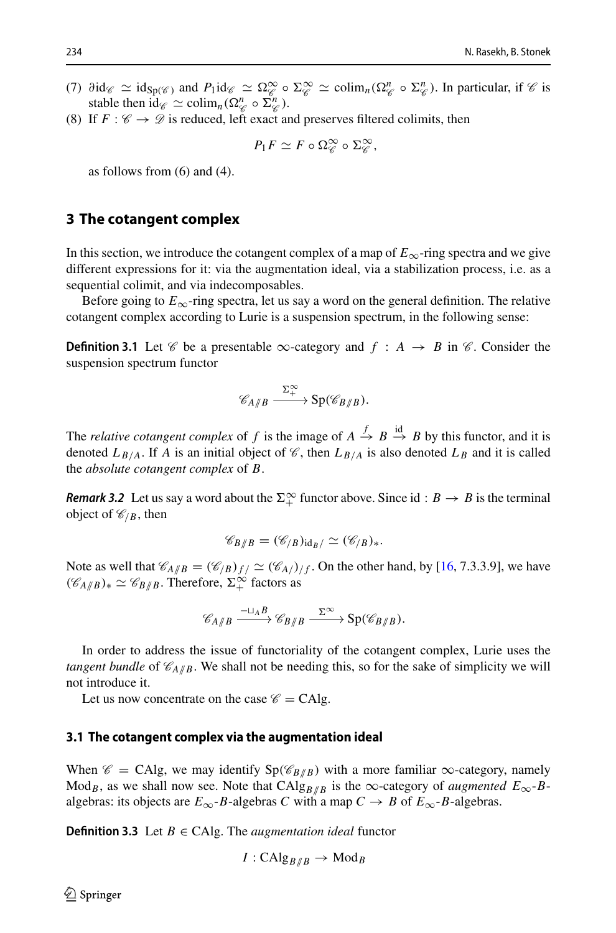- (7)  $\partial \text{id}_{\mathcal{C}} \simeq \text{id}_{\text{Sp}(\mathcal{C})}$  and  $P_1 \text{id}_{\mathcal{C}} \simeq \Omega_{\mathcal{C}}^{\infty} \circ \Sigma_{\mathcal{C}}^{\infty} \simeq \text{colim}_{n}(\Omega_{\mathcal{C}}^n \circ \Sigma_{\mathcal{C}}^n)$ . In particular, if  $\mathcal{C}$  is stable then  $id_{\mathscr{C}} \simeq \text{colim}_{n}(\Omega_{\mathscr{C}}^{n} \circ \Sigma_{\mathscr{C}}^{n}).$
- (8) If  $F : \mathscr{C} \to \mathscr{D}$  is reduced, left exact and preserves filtered colimits, then

$$
P_1F \simeq F \circ \Omega_{\mathscr{C}}^{\infty} \circ \Sigma_{\mathscr{C}}^{\infty},
$$

as follows from  $(6)$  and  $(4)$ .

# <span id="page-5-0"></span>**3 The cotangent complex**

In this section, we introduce the cotangent complex of a map of  $E_{\infty}$ -ring spectra and we give different expressions for it: via the augmentation ideal, via a stabilization process, i.e. as a sequential colimit, and via indecomposables.

Before going to  $E_{\infty}$ -ring spectra, let us say a word on the general definition. The relative cotangent complex according to Lurie is a suspension spectrum, in the following sense:

**Definition 3.1** Let *C* be a presentable  $\infty$ -category and  $f : A \rightarrow B$  in *C*. Consider the suspension spectrum functor

$$
\mathscr{C}_{A/\!\!/B} \xrightarrow{\Sigma_+^{\infty}} \mathrm{Sp}(\mathscr{C}_{B/\!\!/B}).
$$

The *relative cotangent complex* of *f* is the image of  $A \stackrel{f}{\rightarrow} B \stackrel{id}{\rightarrow} B$  by this functor, and it is denoted  $L_{B/A}$ . If *A* is an initial object of *C*, then  $L_{B/A}$  is also denoted  $L_B$  and it is called the *absolute cotangent complex* of *B*.

<span id="page-5-2"></span>*Remark 3.2* Let us say a word about the  $\Sigma^{\infty}_+$  functor above. Since id :  $B \to B$  is the terminal object of  $\mathcal{C}_{/B}$ , then

$$
\mathscr{C}_{B/B}=(\mathscr{C}_{/B})_{\mathrm{id}_B/}\simeq(\mathscr{C}_{/B})_*.
$$

Note as well that  $\mathcal{C}_{A/B} = (\mathcal{C}_{/B})_{f/} \simeq (\mathcal{C}_{A/})_{/f}$ . On the other hand, by [\[16,](#page-23-3) 7.3.3.9], we have  $(\mathscr{C}_{A/\!\!/B})_* \simeq \mathscr{C}_{B/\!\!/B}$ . Therefore,  $\Sigma_+^{\infty}$  factors as

$$
\mathscr{C}_{A/\!\!/B} \xrightarrow{\phantom{a}\sqcup_A B} \mathscr{C}_{B/\!\!/B} \xrightarrow{\phantom{a}\Sigma^\infty} \mathrm{Sp}(\mathscr{C}_{B/\!\!/B}).
$$

In order to address the issue of functoriality of the cotangent complex, Lurie uses the *tangent bundle* of  $\mathcal{C}_{A/B}$ . We shall not be needing this, so for the sake of simplicity we will not introduce it.

Let us now concentrate on the case  $\mathscr{C} = CAlg$ .

#### **3.1 The cotangent complex via the augmentation ideal**

When  $\mathscr{C} = CAlg$ , we may identify  $Sp(\mathscr{C}_{B/B})$  with a more familiar  $\infty$ -category, namely Mod<sub>*B*</sub>, as we shall now see. Note that CAlg<sub>*B*//*B*</sub> is the ∞-category of *augmented*  $E_{\infty}$ -*B*algebras: its objects are  $E_{\infty}$ -*B*-algebras *C* with a map  $C \rightarrow B$  of  $E_{\infty}$ -*B*-algebras.

<span id="page-5-1"></span>**Definition 3.3** Let  $B \in CA$ lg. The *augmentation ideal* functor

$$
I: \mathrm{CAlg}_{B/B} \to \mathrm{Mod}_B
$$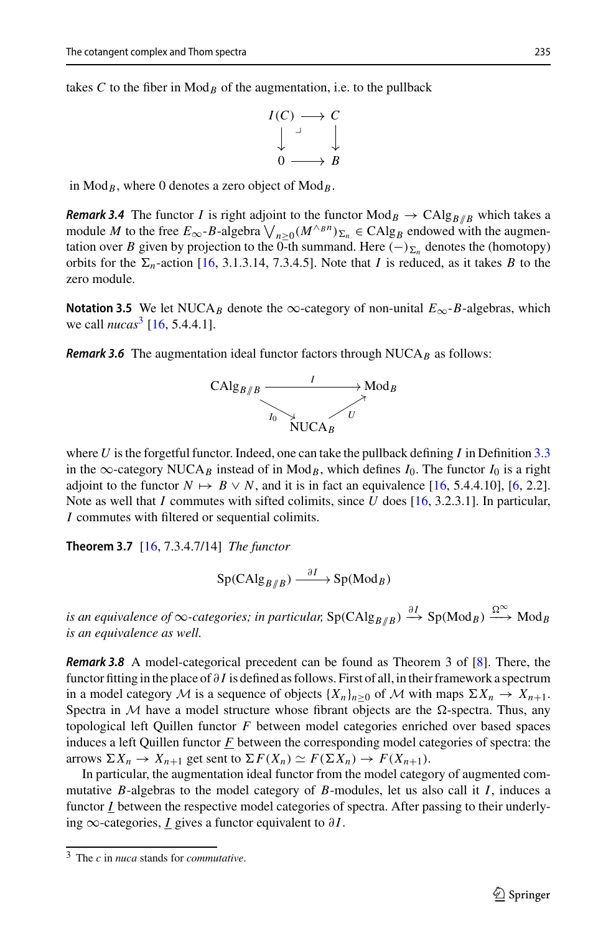takes  $C$  to the fiber in  $Mod_B$  of the augmentation, i.e. to the pullback

$$
I(C) \longrightarrow C
$$
  

$$
\downarrow \qquad \qquad \downarrow
$$
  

$$
0 \longrightarrow B
$$

in  $Mod_B$ , where 0 denotes a zero object of  $Mod_B$ .

*Remark 3.4* The functor *I* is right adjoint to the functor  $Mod_B \rightarrow Calg_{B/R}$  which takes a in Mod<sub>B</sub>, where 0 denotes a zero object of Mod<sub>B</sub>.<br> **Remark 3.4** The functor *I* is right adjoint to the functor Mod<sub>B</sub>  $\rightarrow$  CAlg<sub>B//B</sub> which takes a module *M* to the free  $E_{\infty}$ -B-algebra  $\bigvee_{n \geq 0} (M^{\wedge_B n})_{\Sigma_n} \$ tation over *B* given by projection to the 0-th summand. Here  $(-)_{\Sigma_n}$  denotes the (homotopy) orbits for the  $\Sigma_n$ -action [\[16](#page-23-3), 3.1.3.14, 7.3.4.5]. Note that *I* is reduced, as it takes *B* to the zero module.

**Notation 3.5** We let NUCA<sub>B</sub> denote the ∞-category of non-unital  $E_{\infty}$ -B-algebras, which we call *nucas*<sup>[3](#page-6-1)</sup> [\[16,](#page-23-3) 5.4.4.1].

<span id="page-6-3"></span>**Remark 3.6** The augmentation ideal functor factors through NUCA<sub>B</sub> as follows:



where *U* is the forgetful functor. Indeed, one can take the pullback defining *I* in Definition [3.3](#page-5-1) in the  $\infty$ -category NUCA<sub>B</sub> instead of in Mod<sub>B</sub>, which defines *I*<sub>0</sub>. The functor *I*<sub>0</sub> is a right adjoint to the functor  $N \mapsto B \vee N$ , and it is in fact an equivalence [\[16,](#page-23-3) 5.4.4.10], [\[6,](#page-23-5) 2.2]. Note as well that *I* commutes with sifted colimits, since *U* does [\[16,](#page-23-3) 3.2.3.1]. In particular, *I* commutes with filtered or sequential colimits.

<span id="page-6-2"></span>**Theorem 3.7** [\[16](#page-23-3), 7.3.4.7/14] *The functor*

$$
\mathrm{Sp}(\mathrm{CAlg}_{B/\!\!/B}) \xrightarrow{\partial I} \mathrm{Sp}(\mathrm{Mod}_B)
$$

*is an equivalence of*  $\infty$ -*categories; in particular,* Sp(CAlg<sub>*B*//*B*)  $\stackrel{\partial I}{\longrightarrow}$  Sp(Mod<sub>*B*</sub>)  $\stackrel{\Omega^{\infty}}{\longrightarrow}$  Mod<sub>*B*</sub></sub> *is an equivalence as well.*

*Remark 3.8* A model-categorical precedent can be found as Theorem 3 of [\[8\]](#page-23-6). There, the functor fitting in the place of ∂ *I* is defined as follows. First of all, in their framework a spectrum in a model category *M* is a sequence of objects  $\{X_n\}_{n>0}$  of *M* with maps  $\Sigma X_n \to X_{n+1}$ . Spectra in  $M$  have a model structure whose fibrant objects are the  $\Omega$ -spectra. Thus, any topological left Quillen functor *F* between model categories enriched over based spaces induces a left Quillen functor *F* between the corresponding model categories of spectra: the arrows  $\Sigma X_n \to X_{n+1}$  get sent to  $\Sigma F(X_n) \simeq F(\Sigma X_n) \to F(X_{n+1})$ .

In particular, the augmentation ideal functor from the model category of augmented commutative *B*-algebras to the model category of *B*-modules, let us also call it *I*, induces a functor *I* between the respective model categories of spectra. After passing to their underlying  $\infty$ -categories, *I* gives a functor equivalent to ∂*I*.

<span id="page-6-1"></span><span id="page-6-0"></span><sup>3</sup> The *c* in *nuca* stands for *commutative*.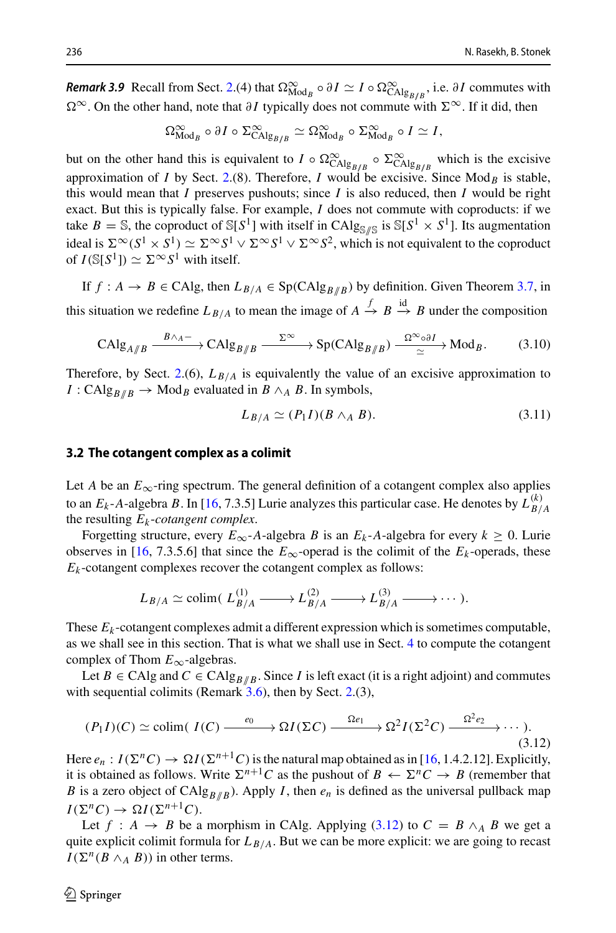*Remark 3.9* Recall from Sect. [2.](#page-4-0)(4) that  $\Omega_{\text{Mod}_B}^{\infty} \circ \partial I \simeq I \circ \Omega_{\text{CAlg}_{B/B}}^{\infty}$ , i.e.  $\partial I$  commutes with Ω<sup>∞</sup>. On the other hand, note that ∂*I* typically does not commute with Σ<sup>∞</sup>. If it did, then

$$
\Omega_{\mathrm{Mod}_{B}}^{\infty}\circ\partial I \circ \Sigma_{\mathrm{CAlg}_{B/B}}^{\infty}\simeq \Omega_{\mathrm{Mod}_{B}}^{\infty}\circ\Sigma_{\mathrm{Mod}_{B}}^{\infty}\circ I \simeq I,
$$

but on the other hand this is equivalent to  $I \circ \Omega_{\text{CAlg}_{B/B}}^{\infty} \circ \Sigma_{\text{CAlg}_{B/B}}^{\infty}$  which is the excisive approximation of *I* by Sect. [2.](#page-4-0)(8). Therefore, *I* would be excisive. Since  $Mod_B$  is stable, this would mean that *I* preserves pushouts; since *I* is also reduced, then *I* would be right exact. But this is typically false. For example, *I* does not commute with coproducts: if we take  $B = \mathbb{S}$ , the coproduct of  $\mathbb{S}[S^1]$  with itself in CAlg<sub>S//S</sub> is  $\mathbb{S}[S^1 \times S^1]$ . Its augmentation ideal is  $\Sigma^{\infty}(S^1 \times S^1) \simeq \Sigma^{\infty} S^1 \vee \Sigma^{\infty} S^1 \vee \Sigma^{\infty} S^2$ , which is not equivalent to the coproduct of  $I(S[S^1]) \simeq \Sigma^{\infty} S^1$  with itself.

If  $f : A \rightarrow B \in CA$ lg, then  $L_{B/A} \in Sp(CAlg_{B/B})$  by definition. Given Theorem [3.7,](#page-6-2) in this situation we redefine  $L_{B/A}$  to mean the image of  $A \stackrel{f}{\rightarrow} B \stackrel{\text{id}}{\rightarrow} B$  under the composition

<span id="page-7-0"></span>
$$
\mathrm{CAlg}_{A/B} \xrightarrow{B \wedge_A -} \mathrm{CAlg}_{B/B} \xrightarrow{\Sigma^{\infty}} \mathrm{Sp}(\mathrm{CAlg}_{B/B}) \xrightarrow{\Omega^{\infty} \circ \partial I} \mathrm{Mod}_B. \tag{3.10}
$$

Therefore, by Sect. [2.](#page-4-0)(6),  $L_{B/A}$  is equivalently the value of an excisive approximation to *I* : CAlg<sub>*B*</sub> $/$ *B* → Mod<sub>*B*</sub> evaluated in *B* ∧*A B*. In symbols,

<span id="page-7-1"></span>
$$
L_{B/A} \simeq (P_1 I)(B \wedge_A B). \tag{3.11}
$$

### **3.2 The cotangent complex as a colimit**

Let *A* be an  $E_{\infty}$ -ring spectrum. The general definition of a cotangent complex also applies to an  $E_k$ -*A*-algebra *B*. In [\[16,](#page-23-3) 7.3.5] Lurie analyzes this particular case. He denotes by  $L_{B/A}^{(k)}$ the resulting  $E_k$ -cotangent complex.

Forgetting structure, every  $E_{\infty}$ -*A*-algebra *B* is an  $E_k$ -*A*-algebra for every  $k \ge 0$ . Lurie observes in [\[16](#page-23-3), 7.3.5.6] that since the  $E_{\infty}$ -operad is the colimit of the  $E_k$ -operads, these  $E_k$ -cotangent complexes recover the cotangent complex as follows:

$$
L_{B/A} \simeq \text{colim}(\ L_{B/A}^{(1)} \longrightarrow L_{B/A}^{(2)} \longrightarrow L_{B/A}^{(3)} \longrightarrow \cdots ).
$$

These  $E_k$ -cotangent complexes admit a different expression which is sometimes computable, as we shall see in this section. That is what we shall use in Sect. [4](#page-15-1) to compute the cotangent complex of Thom *E*∞-algebras.

Let *B* ∈ CAlg and *C* ∈ CAlg<sub>*B*//*B*</sub>. Since *I* is left exact (it is a right adjoint) and commutes with sequential colimits (Remark  $3.6$ ), then by Sect. [2.](#page-4-0)(3),

<span id="page-7-2"></span>
$$
(P_1I)(C) \simeq \text{colim}( I(C) \xrightarrow{\,e_0 \,}\Omega I(\Sigma C) \xrightarrow{\,\Omega e_1 \,}\Omega^2 I(\Sigma^2 C) \xrightarrow{\,\Omega^2 e_2 \,}\cdots ).\tag{3.12}
$$

Here  $e_n: I(\Sigma^n C) \to \Omega I(\Sigma^{n+1} C)$  is the natural map obtained as in [\[16](#page-23-3), 1.4.2.12]. Explicitly, it is obtained as follows. Write  $\Sigma^{n+1}C$  as the pushout of  $B \leftarrow \Sigma^n C \rightarrow B$  (remember that *B* is a zero object of CAlg<sub>*B*//*B*</sub>). Apply *I*, then  $e_n$  is defined as the universal pullback map  $I(\Sigma^n C) \to \Omega I(\Sigma^{n+1} C)$ .

Let  $f : A \rightarrow B$  be a morphism in CAlg. Applying [\(3.12\)](#page-7-2) to  $C = B \wedge_A B$  we get a quite explicit colimit formula for  $L_{B/A}$ . But we can be more explicit: we are going to recast  $I(\Sigma^n(B \wedge_A B))$  in other terms.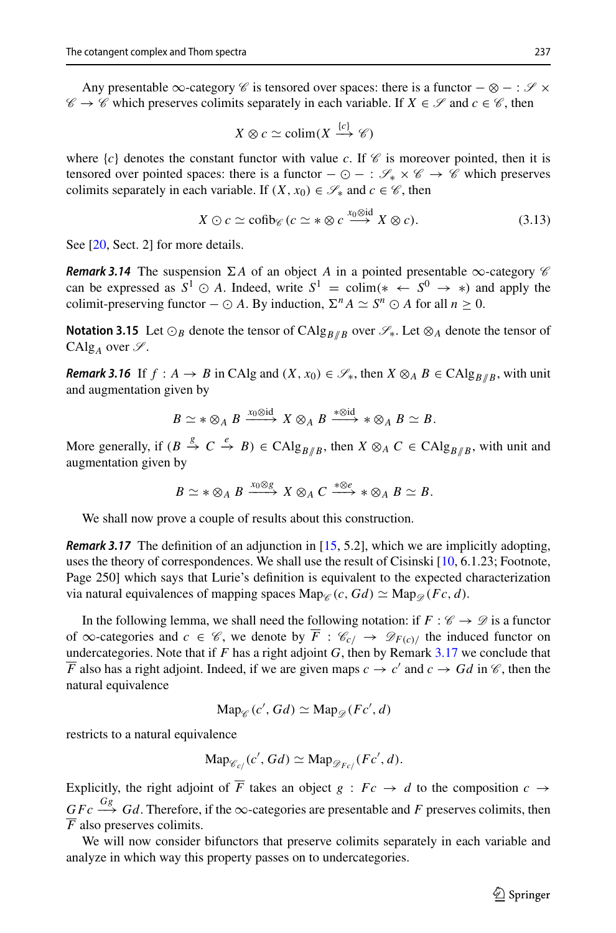Any presentable ∞-category *C* is tensored over spaces: there is a functor −⊗−: *S* ×  $\mathscr{C} \to \mathscr{C}$  which preserves colimits separately in each variable. If  $X \in \mathscr{S}$  and  $c \in \mathscr{C}$ , then

$$
X \otimes c \simeq \text{colim}(X \xrightarrow{\{c\}} \mathscr{C})
$$

where  ${c}$  denotes the constant functor with value *c*. If  $\mathscr C$  is moreover pointed, then it is tensored over pointed spaces: there is a functor  $-\odot -$ :  $\mathscr{S}_* \times \mathscr{C} \rightarrow \mathscr{C}$  which preserves colimits separately in each variable. If  $(X, x_0) \in \mathcal{S}_*$  and  $c \in \mathcal{C}$ , then

$$
X \odot c \simeq \text{cofib}_{\mathscr{C}}(c \simeq * \otimes c \xrightarrow{x_0 \otimes \text{id}} X \otimes c). \tag{3.13}
$$

<span id="page-8-3"></span>See [\[20,](#page-23-14) Sect. 2] for more details.

*Remark 3.14* The suspension  $\Sigma A$  of an object *A* in a pointed presentable  $\infty$ -category  $\mathscr C$ can be expressed as  $S^1 \odot A$ . Indeed, write  $S^1 = \text{colim}(* \leftarrow S^0 \rightarrow *)$  and apply the colimit-preserving functor  $-\odot A$ . By induction,  $\Sigma^n A \simeq S^n \odot A$  for all  $n > 0$ .

**Notation 3.15** Let  $\odot_B$  denote the tensor of CAlg<sub>*B*//*B*</sub> over  $\mathscr{S}_*$ . Let  $\otimes_A$  denote the tensor of CAlg<sub>A</sub> over  $\mathscr{S}$ .

<span id="page-8-2"></span>*Remark 3.16* If  $f : A \rightarrow B$  in CAIg and  $(X, x_0) \in \mathcal{S}_*$ , then  $X \otimes_A B \in CAlg_{B/B}$ , with unit and augmentation given by

$$
B \simeq * \otimes_A B \xrightarrow{x_0 \otimes \mathrm{id}} X \otimes_A B \xrightarrow{*\otimes \mathrm{id}} * \otimes_A B \simeq B.
$$

More generally, if  $(B \stackrel{g}{\to} C \stackrel{e}{\to} B) \in \text{CAlg}_{B/B}$ , then  $X \otimes_A C \in \text{CAlg}_{B/B}$ , with unit and augmentation given by

$$
B \simeq * \otimes_A B \xrightarrow{x_0 \otimes g} X \otimes_A C \xrightarrow{* \otimes e} * \otimes_A B \simeq B.
$$

<span id="page-8-0"></span>We shall now prove a couple of results about this construction.

*Remark 3.17* The definition of an adjunction in [\[15,](#page-23-12) 5.2], which we are implicitly adopting, uses the theory of correspondences. We shall use the result of Cisinski [\[10](#page-23-15), 6.1.23; Footnote, Page 250] which says that Lurie's definition is equivalent to the expected characterization via natural equivalences of mapping spaces  $\text{Map}_{\mathscr{C}}(c, Gd) \simeq \text{Map}_{\mathscr{D}}(Fc, d)$ .

In the following lemma, we shall need the following notation: if  $F : \mathscr{C} \to \mathscr{D}$  is a functor of ∞-categories and  $c \in \mathcal{C}$ , we denote by  $\overline{F}$  :  $\mathcal{C}_{c/}$  →  $\mathcal{D}_{F(c)/}$  the induced functor on undercategories. Note that if  $F$  has a right adjoint  $G$ , then by Remark  $3.17$  we conclude that *F* also has a right adjoint. Indeed, if we are given maps  $c \rightarrow c'$  and  $c \rightarrow Gd$  in *C*, then the natural equivalence

$$
\mathrm{Map}_{\mathscr{C}}(c', Gd) \simeq \mathrm{Map}_{\mathscr{D}}(Fc', d)
$$

restricts to a natural equivalence

$$
\mathrm{Map}_{\mathscr{C}_{c/}}(c', Gd) \simeq \mathrm{Map}_{\mathscr{D}_{Fc/}}(Fc', d).
$$

Explicitly, the right adjoint of  $\overline{F}$  takes an object  $g : Fc \rightarrow d$  to the composition  $c \rightarrow$  $\frac{G}{C}$ *Fc*  $\stackrel{Gg}{\longrightarrow}$  *Gd*. Therefore, if the  $\infty$ -categories are presentable and *F* preserves colimits, then *F* also preserves colimits.

<span id="page-8-1"></span>We will now consider bifunctors that preserve colimits separately in each variable and analyze in which way this property passes on to undercategories.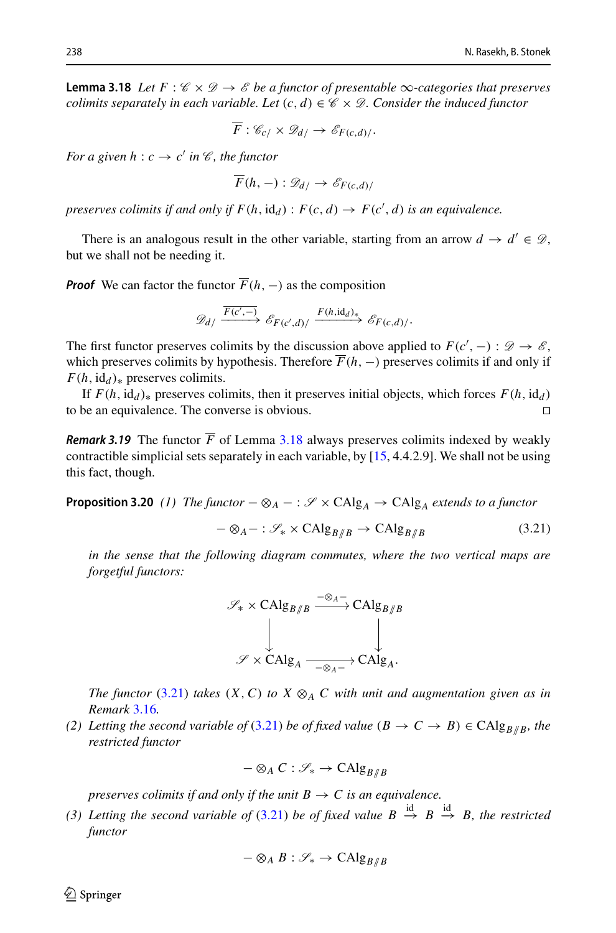**Lemma 3.18** Let  $F : \mathcal{C} \times \mathcal{D} \rightarrow \mathcal{E}$  be a functor of presentable  $\infty$ -categories that preserves *colimits separately in each variable. Let*  $(c, d) \in \mathcal{C} \times \mathcal{D}$ *. Consider the induced functor* 

$$
\overline{F}: \mathscr{C}_{c/}\times \mathscr{D}_{d/}\to \mathscr{E}_{F(c,d)/}.
$$

*For a given h* :  $c \rightarrow c'$  *in*  $\mathcal{C}$ *, the functor* 

$$
F(h,-): \mathscr{D}_{d/} \to \mathscr{E}_{F(c,d)/}
$$

*preserves colimits if and only if*  $F(h, id_d)$  :  $F(c, d) \rightarrow F(c', d)$  *is an equivalence.* 

There is an analogous result in the other variable, starting from an arrow  $d \rightarrow d' \in \mathcal{D}$ , but we shall not be needing it.

*Proof* We can factor the functor  $\overline{F}(h, -)$  as the composition

$$
\mathscr{D}_{d}/\xrightarrow{\overline{F(c',-)}} \mathscr{E}_{F(c',d)}/\xrightarrow{F(h,\mathrm{id}_d)_*} \mathscr{E}_{F(c,d)}/.
$$

The first functor preserves colimits by the discussion above applied to  $F(c', -)$  :  $\mathcal{D} \to \mathcal{E}$ , which preserves colimits by hypothesis. Therefore  $\overline{F}(h, -)$  preserves colimits if and only if  $F(h, id_d)_{\ast}$  preserves colimits.

If  $F(h, id_d)$ <sup>∗</sup> preserves colimits, then it preserves initial objects, which forces  $F(h, id_d)$  be an equivalence. The converse is obvious. □ to be an equivalence. The converse is obvious.

*Remark 3.19* The functor  $\overline{F}$  of Lemma [3.18](#page-8-1) always preserves colimits indexed by weakly contractible simplicial sets separately in each variable, by [\[15](#page-23-12), 4.4.2.9]. We shall not be using this fact, though.

<span id="page-9-1"></span>**Proposition 3.20** *(1)* The functor  $-\otimes_A - : \mathcal{S} \times CAlg_A \rightarrow CAlg_A$  extends to a functor

<span id="page-9-0"></span>
$$
-\otimes_A - : \mathcal{S}_* \times \mathrm{CAlg}_{B/B} \to \mathrm{CAlg}_{B/B} \tag{3.21}
$$

*in the sense that the following diagram commutes, where the two vertical maps are forgetful functors:*

$$
\mathscr{S}_* \times \mathrm{CAlg}_{B/B} \xrightarrow{-\otimes A^-} \mathrm{CAlg}_{B/B}
$$

$$
\downarrow \qquad \qquad \downarrow
$$

$$
\mathscr{S} \times \mathrm{CAlg}_A \xrightarrow{-\otimes_A -} \mathrm{CAlg}_A.
$$

*The functor* [\(3.21\)](#page-9-0) *takes* (*X*, *C*) *to X*  $\otimes$ <sub>*A*</sub> *C with unit and augmentation given as in Remark* [3.16](#page-8-2)*.*

*(2) Letting the second variable of [\(3.21\)](#page-9-0) be of fixed value*  $(B \to C \to B) \in CAlg_{B/B}$ , the *restricted functor*

$$
-\otimes_A C : \mathscr{S}_* \to \mathrm{CAlg}_{B/B}
$$

*preserves colimits if and only if the unit*  $B \to C$  *is an equivalence.* 

(3) Letting the second variable of [\(3.21\)](#page-9-0) be of fixed value  $B \stackrel{\text{id}}{\rightarrow} B \stackrel{\text{id}}{\rightarrow} B$ , the restricted *functor*

$$
-\otimes_A B : \mathscr{S}_* \to \mathrm{CAlg}_{B/B}
$$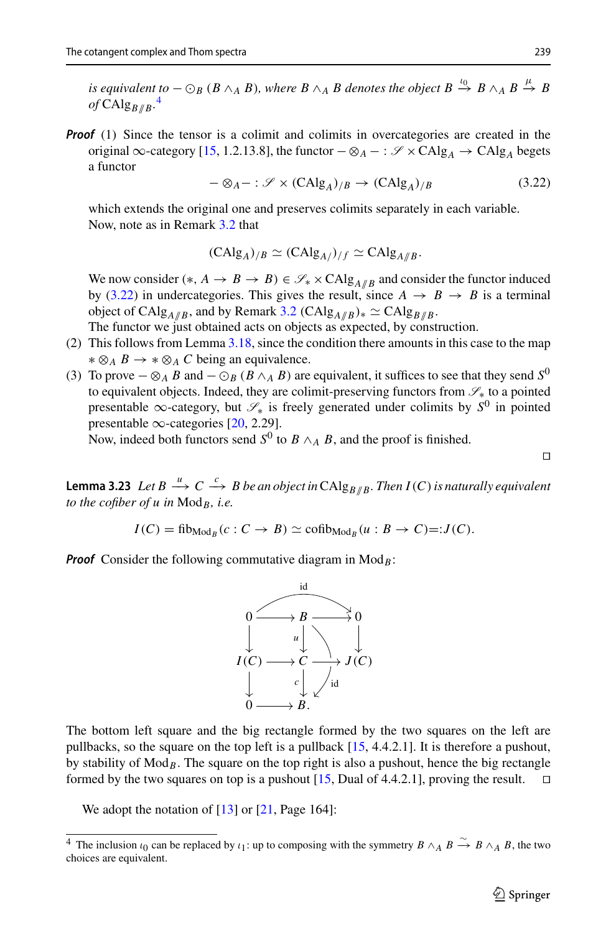*is equivalent to*  $-\bigcirc_B (B \wedge_A B)$ , where  $B \wedge_A B$  denotes the object  $B \xrightarrow{t_0} B \wedge_A B \xrightarrow{\mu} B$  $of$  CAlg $_{B/\!\!/B}$ .<sup>[4](#page-10-1)</sup>

**Proof** (1) Since the tensor is a colimit and colimits in overcategories are created in the original ∞-category [\[15](#page-23-12), 1.2.13.8], the functor  $-\otimes_A - : \mathscr{S} \times CAlg_A \rightarrow CAlg_A$  begets a functor

<span id="page-10-2"></span>
$$
-\otimes_A - : \mathcal{S} \times (CAlg_A)_{/B} \to (CAlg_A)_{/B} \tag{3.22}
$$

which extends the original one and preserves colimits separately in each variable. Now, note as in Remark [3.2](#page-5-2) that

$$
(\mathrm{CAlg}_A)_{/B} \simeq (\mathrm{CAlg}_{A/})_{/f} \simeq \mathrm{CAlg}_{A/B}.
$$

We now consider  $(*, A \rightarrow B \rightarrow B) \in \mathcal{S}_* \times CAlg_{A/B}$  and consider the functor induced by [\(3.22\)](#page-10-2) in undercategories. This gives the result, since  $A \rightarrow B \rightarrow B$  is a terminal object of CAlg<sub>*A*//*B*</sub>, and by Remark [3.2](#page-5-2) (CAlg<sub>*A*//*B*)<sup>\*</sup></sup>  $\approx$  CAlg<sub>*B*//*B*</sub>.</sub>

- The functor we just obtained acts on objects as expected, by construction.
- (2) This follows from Lemma [3.18,](#page-8-1) since the condition there amounts in this case to the map ∗ ⊗*<sup>A</sup> B* →∗⊗*<sup>A</sup> C* being an equivalence.
- (3) To prove  $-\otimes_A B$  and  $-\odot_B (B \wedge_A B)$  are equivalent, it suffices to see that they send  $S^0$ to equivalent objects. Indeed, they are colimit-preserving functors from *S*<sup>∗</sup> to a pointed presentable <sup>∞</sup>-category, but *<sup>S</sup>*<sup>∗</sup> is freely generated under colimits by *<sup>S</sup>*<sup>0</sup> in pointed presentable  $\infty$ -categories [\[20,](#page-23-14) 2.29].

Now, indeed both functors send  $S^0$  to  $B \wedge_A B$ , and the proof is finished.

 $\Box$ 

<span id="page-10-3"></span>**Lemma 3.23** *Let B*  $\xrightarrow{\mu} C \xrightarrow{c} B$  *be an object in* CAlg<sub>*B*//*B*</sub>. *Then I*(*C*) *is naturally equivalent to the cofiber of u in* Mod*B, i.e.*

$$
I(C) = \operatorname{fib}_{\operatorname{Mod}_B}(c : C \to B) \simeq \operatorname{cofib}_{\operatorname{Mod}_B}(u : B \to C) =: J(C).
$$

*Proof* Consider the following commutative diagram in  $Mod_B$ :



The bottom left square and the big rectangle formed by the two squares on the left are pullbacks, so the square on the top left is a pullback [\[15,](#page-23-12) 4.4.2.1]. It is therefore a pushout, by stability of  $Mod_B$ . The square on the top right is also a pushout, hence the big rectangle formed by the two squares on top is a pushout [\[15](#page-23-12), Dual of 4.4.2.1], proving the result.  $\square$ 

<span id="page-10-0"></span>We adopt the notation of  $[13]$  or  $[21, Page 164]$  $[21, Page 164]$ :

<span id="page-10-1"></span><sup>&</sup>lt;sup>4</sup> The inclusion  $\iota_0$  can be replaced by  $\iota_1$ : up to composing with the symmetry  $B \wedge_A B \xrightarrow{\sim} B \wedge_A B$ , the two choices are equivalent.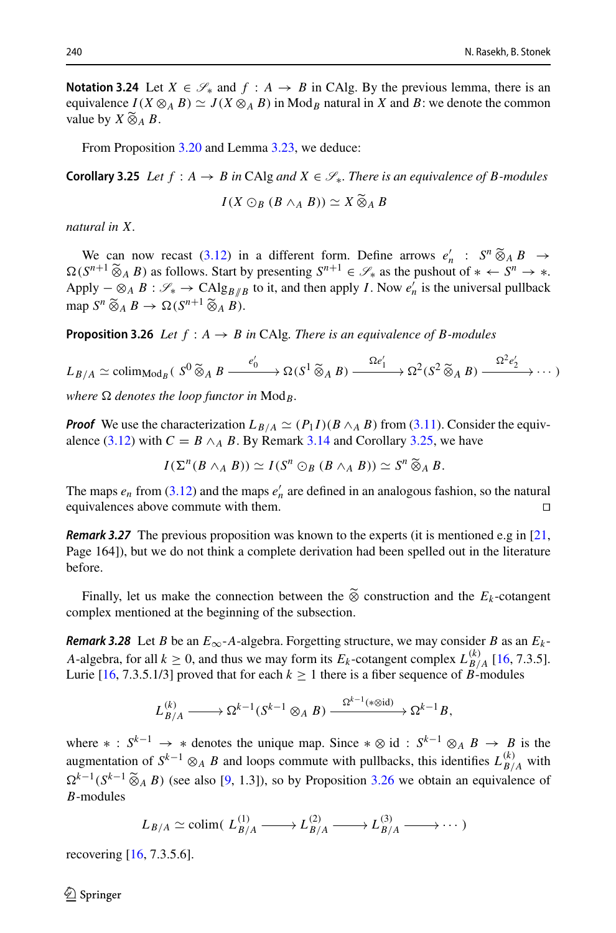**Notation 3.24** Let  $X \in \mathcal{S}_*$  and  $f : A \to B$  in CAlg. By the previous lemma, there is an equivalence  $I(X \otimes_A B) \simeq J(X \otimes_A B)$  in Mod<sub>B</sub> natural in X and B: we denote the common **Notation 3.24**<br>equivalence *I*<br>value by *X* ⊗ value by  $X \ddot{\otimes}_A B$ .

From Proposition [3.20](#page-9-1) and Lemma [3.23,](#page-10-3) we deduce:

<span id="page-11-1"></span>**Corollary 3.25** *Let f* : *A* → *B in* CAlg *and X* ∈ *S*∗*. There is an equivalence of B-modules I* Lemma 3.23, we deduce:<br>*B* in CAlg and  $X \in \mathcal{S}_*$ . The<br> $I(X \odot_B (B \wedge_A B)) \simeq X \widetilde{\otimes}$ 

$$
I(X\odot_B(B\wedge_A B))\simeq X\widetilde{\otimes}_AB
$$

*natural in X.*

 $I(X \odot_B (B \wedge_A B)) \simeq X \otimes_A B$ <br> *We can now recast [\(3.12\)](#page-7-2) in a different form. Define arrows*  $e'_n : S^n \widetilde{\otimes}_A B \to$ *S*<sup>*n*</sup> *A B*  $\rightarrow$  *A B*  $\rightarrow$  *A B*  $\rightarrow$  *S*<sup>*n*</sup> ∴ *S*<sup>*n*</sup> ⊗<sub>*A</sub> B*  $\rightarrow$  *A B*  $\rightarrow$  *A B*  $\rightarrow$  *A B*  $\rightarrow$  *A B*  $\rightarrow$  *A B*  $\rightarrow$  *A B*  $\rightarrow$  *A B*  $\rightarrow$  *A B*  $\rightarrow$  *A B*  $\rightarrow$  *A B*  $\rightarrow$  *A B</sub>* Apply  $-\otimes_A B : \mathscr{S}_* \to \mathrm{CAlg}_{B/\!/B}$  to it, and then apply *I*. Now  $e'_n$  is the universal pullback We can now recast (3.1<br>  $\Omega(S^{n+1} \widetilde{\otimes}_A B)$  as follows. S<br>
Apply  $-\otimes_A B : \mathscr{S}_* \to \text{CA}$ <br>
map  $S^n \widetilde{\otimes}_A B \to \Omega(S^{n+1} \widetilde{\otimes}_A B)$ map  $S^n \widetilde{\otimes}_A B \to \Omega(S^{n+1} \widetilde{\otimes}_A B)$ .

**Proposition 3.26** *Let f* : *A* → *B in* CAlg*. There is an equivalence of B-modules*

<span id="page-11-0"></span>**Proposition 3.26** Let 
$$
f : A \to B
$$
 in CAlg. There is an equivalence of B-modules  
\n
$$
L_{B/A} \simeq \text{colim}_{\text{Mod}_B} (S^0 \widetilde{\otimes}_A B \xrightarrow{e'_0} \otimes_{\text{G}} (S^1 \widetilde{\otimes}_A B) \xrightarrow{\Omega e'_1} \otimes_{\text{G}} (S^2 \widetilde{\otimes}_A B) \xrightarrow{\Omega^2 e'_2} \cdots )
$$

*where*  $\Omega$  *denotes the loop functor in*  $Mod_B$ .

*Proof* We use the characterization  $L_{B/A} \simeq (P_1 I)(B \wedge_A B)$  from [\(3.11\)](#page-7-1). Consider the equiv-alence [\(3.12\)](#page-7-2) with  $C = B \wedge_A B$ . By Remark [3.14](#page-8-3) and Corollary [3.25,](#page-11-1) we have *I*(*h*atacterization  $L_{B/A} \simeq (P_1 I)(B \wedge_A B)$  from (3.11).<br>  $C = B \wedge_A B$ . By Remark 3.14 and Corollary 3.25, v<br>  $I(\Sigma^n(B \wedge_A B)) \simeq I(S^n \odot_B (B \wedge_A B)) \simeq S^n \widetilde{\otimes}_A B$ .

The maps  $e_n$  from [\(3.12\)](#page-7-2) and the maps  $e'_n$  are defined in an analogous fashion, so the natural equivalences above commute with them.

*Remark 3.27* The previous proposition was known to the experts (it is mentioned e.g in [\[21,](#page-23-8) Page 164]), but we do not think a complete derivation had been spelled out in the literature before. Finally, let us make the connection between the  $\tilde{\otimes}$  construction and the *E<sub>k</sub>*-cotangent Finally, let us make the connection between the  $\tilde{\otimes}$  construction and the *E<sub>k</sub>*-cotangent

complex mentioned at the beginning of the subsection.

*Remark 3.28* Let *B* be an  $E_{\infty}$ -*A*-algebra. Forgetting structure, we may consider *B* as an  $E_k$ -*A*-algebra, for all  $k \ge 0$ , and thus we may form its  $E_k$ -cotangent complex  $L_{B/A}^{(k)}$  [\[16,](#page-23-3) 7.3.5]. Lurie [\[16,](#page-23-3) 7.3.5.1/3] proved that for each  $k \ge 1$  there is a fiber sequence of *B*-modules

$$
L_{B/A}^{(k)} \longrightarrow \Omega^{k-1}(S^{k-1} \otimes_A B) \xrightarrow{\Omega^{k-1}(\ast \otimes \mathrm{id})} \Omega^{k-1}B,
$$

where  $* : S^{k-1} \to *$  denotes the unique map. Since  $* \otimes id : S^{k-1} \otimes_A B \to B$  is the augmentation of  $S^{k-1} \otimes_A B$  and loops commute with pullbacks, this identifies  $L_{B/A}^{(k)}$  with where  $*$  :  $S^{k-1}$  →  $*$  denotes the unique map. Since  $* \otimes$  id :  $S^{k-1} \otimes_A B \rightarrow B$  is the augmentation of  $S^{k-1} \otimes_A B$  and loops commute with pullbacks, this identifies  $L_{B/A}^{(k)}$  with  $\Omega^{k-1}(S^{k-1} \otimes_A B)$  (see als *B*-modules

$$
L_{B/A} \simeq \text{colim}(\ L_{B/A}^{(1)} \longrightarrow L_{B/A}^{(2)} \longrightarrow L_{B/A}^{(3)} \longrightarrow \cdots)
$$

recovering [\[16](#page-23-3), 7.3.5.6].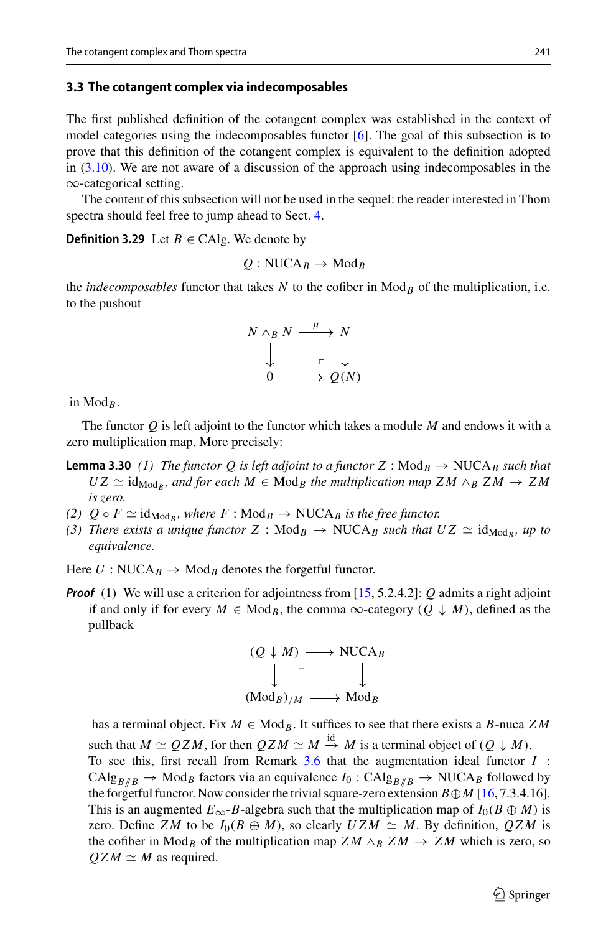#### **3.3 The cotangent complex via indecomposables**

The first published definition of the cotangent complex was established in the context of model categories using the indecomposables functor  $[6]$ . The goal of this subsection is to prove that this definition of the cotangent complex is equivalent to the definition adopted in [\(3.10\)](#page-7-0). We are not aware of a discussion of the approach using indecomposables in the ∞-categorical setting.

The content of this subsection will not be used in the sequel: the reader interested in Thom spectra should feel free to jump ahead to Sect. [4.](#page-15-1)

**Definition 3.29** Let  $B \in CA$ lg. We denote by

$$
Q:\mathrm{NUCA}_B\to \mathrm{Mod}_B
$$

the *indecomposables* functor that takes  $N$  to the cofiber in  $\text{Mod}_B$  of the multiplication, i.e. to the pushout

$$
N \wedge_B N \xrightarrow{\mu} N
$$
  

$$
\downarrow \qquad \qquad \downarrow
$$
  

$$
0 \xrightarrow{\mu} Q(N)
$$

in  $Mod_B$ .

<span id="page-12-0"></span>The functor *Q* is left adjoint to the functor which takes a module *M* and endows it with a zero multiplication map. More precisely:

- **Lemma 3.30** (1) The functor Q is left adjoint to a functor Z : Mod<sub>B</sub>  $\rightarrow$  NUCA<sub>B</sub> such that  $UZ \simeq id_{\text{Mod }R}$ , and for each  $M \in \text{Mod }B$  the multiplication map  $ZM \wedge_B ZM \rightarrow ZM$ *is zero.*
- <span id="page-12-1"></span>*(2)*  $Q \circ F \simeq id_{\text{Mod}_B}$ , where  $F : \text{Mod}_B \to \text{NUCA}_B$  is the free functor.
- *(3) There exists a unique functor*  $Z : Mod_B \rightarrow NUCA_B$  *such that*  $UZ \simeq id_{Mod_B}$ *, up to equivalence.*

Here  $U: NUCA_B \rightarrow Mod_B$  denotes the forgetful functor.

*Proof* (1) We will use a criterion for adjointness from [\[15,](#page-23-12) 5.2.4.2]: *Q* admits a right adjoint if and only if for every  $M \in Mod_R$ , the comma  $\infty$ -category  $(O \downarrow M)$ , defined as the pullback

$$
(Q \downarrow M) \longrightarrow \text{NUCA}_B
$$
  
\n
$$
\downarrow \qquad \qquad \downarrow
$$
  
\n
$$
(\text{Mod}_B)_{/M} \longrightarrow \text{Mod}_B
$$

has a terminal object. Fix *M* ∈ Mod*B*. It suffices to see that there exists a *B*-nuca *Z M* such that  $M \simeq QZM$ , for then  $QZM \simeq M \stackrel{\text{id}}{\rightarrow} M$  is a terminal object of  $(Q \downarrow M)$ . To see this, first recall from Remark [3.6](#page-6-3) that the augmentation ideal functor *I* :  $CAlg_{B/B} \rightarrow Mod_B$  factors via an equivalence  $I_0: CAlg_{B/B} \rightarrow NUCA_B$  followed by the forgetful functor. Now consider the trivial square-zero extension  $B \oplus M$  [\[16,](#page-23-3) 7.3.4.16]. This is an augmented  $E_{\infty}$ -*B*-algebra such that the multiplication map of  $I_0(B \oplus M)$  is zero. Define *ZM* to be  $I_0(B \oplus M)$ , so clearly  $UZM \simeq M$ . By definition,  $QZM$  is the cofiber in Mod<sub>*B*</sub> of the multiplication map  $ZM \wedge_B ZM \rightarrow ZM$  which is zero, so  $QZM \simeq M$  as required.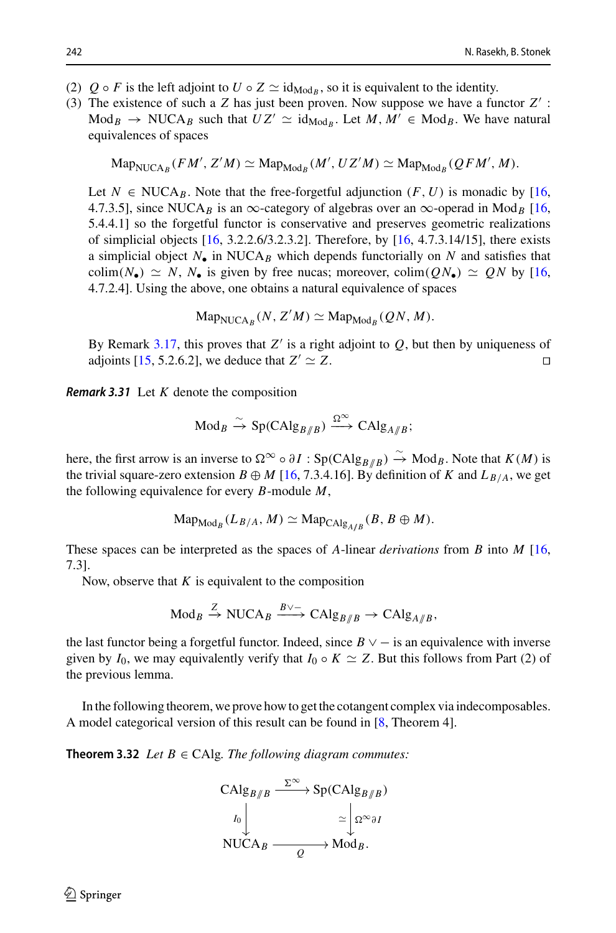- (2)  $Q \circ F$  is the left adjoint to  $U \circ Z \simeq id_{\text{Mod}_B}$ , so it is equivalent to the identity.
- (3) The existence of such a *Z* has just been proven. Now suppose we have a functor *Z* :  $\text{Mod}_B \to \text{NUCA}_B$  such that  $UZ' \simeq \text{id}_{\text{Mod}_B}$ . Let  $M, M' \in \text{Mod}_B$ . We have natural equivalences of spaces

$$
\mathrm{Map}_{\mathrm{NUCA}_B}(FM', Z'M) \simeq \mathrm{Map}_{\mathrm{Mod}_B}(M', UZ'M) \simeq \mathrm{Map}_{\mathrm{Mod}_B}(QFM', M).
$$

Let  $N \in \text{NUCA}_B$ . Note that the free-forgetful adjunction  $(F, U)$  is monadic by [\[16,](#page-23-3) 4.7.3.5], since NUCA<sub>B</sub> is an  $\infty$ -category of algebras over an  $\infty$ -operad in Mod<sub>B</sub> [\[16,](#page-23-3) 5.4.4.1] so the forgetful functor is conservative and preserves geometric realizations of simplicial objects  $[16, 3.2.2.6/3.2.3.2]$  $[16, 3.2.2.6/3.2.3.2]$ . Therefore, by  $[16, 4.7.3.14/15]$ , there exists a simplicial object  $N_{\bullet}$  in NUCA<sub>B</sub> which depends functorially on N and satisfies that colim( $N_{\bullet}$ )  $\simeq N$ ,  $N_{\bullet}$  is given by free nucas; moreover, colim( $QN_{\bullet}$ )  $\simeq QN$  by [\[16,](#page-23-3) 4.7.2.4]. Using the above, one obtains a natural equivalence of spaces

$$
\mathrm{Map}_{\mathrm{NUCA}_B}(N, Z'M) \simeq \mathrm{Map}_{\mathrm{Mod}_B}(QN, M).
$$

By Remark [3.17,](#page-8-0) this proves that  $Z'$  is a right adjoint to  $Q$ , but then by uniqueness of adjoints [\[15](#page-23-12), 5.2.6.2], we deduce that  $Z' \simeq Z$ .

*Remark 3.31* Let *K* denote the composition

$$
\mathrm{Mod}_B \xrightarrow{\sim} \mathrm{Sp}(\mathrm{CAlg}_{B/B}) \xrightarrow{\Omega^{\infty}} \mathrm{CAlg}_{A/B};
$$

here, the first arrow is an inverse to  $\Omega^{\infty} \circ \partial I$  : Sp(CAlg<sub>*B*//*B*)  $\rightarrow$  Mod<sub>*B*</sub>. Note that *K*(*M*) is</sub> the trivial square-zero extension  $B \oplus M$  [\[16](#page-23-3), 7.3.4.16]. By definition of *K* and  $L_{B/A}$ , we get the following equivalence for every *B*-module *M*,

$$
\mathrm{Map}_{\mathrm{Mod}_B}(L_{B/A}, M) \simeq \mathrm{Map}_{\mathrm{CAlg}_{A/B}}(B, B \oplus M).
$$

These spaces can be interpreted as the spaces of *A*-linear *derivations* from *B* into *M* [\[16,](#page-23-3) 7.3].

Now, observe that  $K$  is equivalent to the composition

$$
\mathrm{Mod}_B \xrightarrow{Z} \mathrm{NUCA}_B \xrightarrow{B \vee -} \mathrm{CAlg}_{B/B} \to \mathrm{CAlg}_{A/B},
$$

the last functor being a forgetful functor. Indeed, since  $B \vee -$  is an equivalence with inverse given by  $I_0$ , we may equivalently verify that  $I_0 \circ K \simeq Z$ . But this follows from Part (2) of the previous lemma.

<span id="page-13-0"></span>In the following theorem, we prove how to get the cotangent complex via indecomposables. A model categorical version of this result can be found in [\[8,](#page-23-6) Theorem 4].

**Theorem 3.32** *Let*  $B \in CA$ lg*. The following diagram commutes:* 



 $\mathcal{L}$  Springer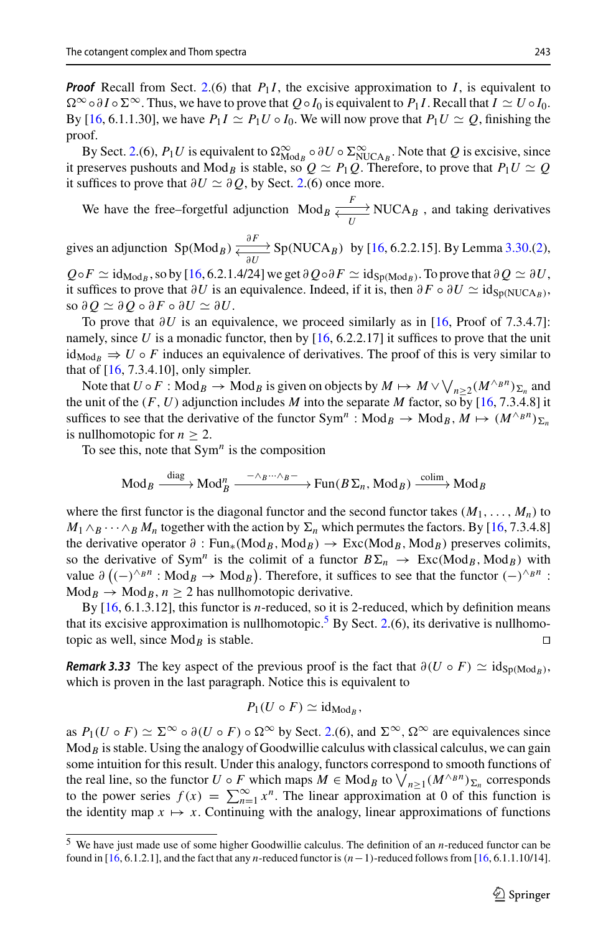*Proof* Recall from Sect. [2.](#page-4-0)(6) that  $P_1I$ , the excisive approximation to I, is equivalent to  $\Omega^{\infty} \circ \partial I \circ \Sigma^{\infty}$ . Thus, we have to prove that  $Q \circ I_0$  is equivalent to  $P_1 I$ . Recall that  $I \simeq U \circ I_0$ . By [\[16,](#page-23-3) 6.1.1.30], we have  $P_1 I \simeq P_1 U \circ I_0$ . We will now prove that  $P_1 U \simeq Q$ , finishing the proof.

By Sect. [2.](#page-4-0)(6),  $P_1U$  is equivalent to  $\Omega_{\text{Mod}_B}^{\infty} \circ \partial U \circ \Sigma_{\text{NUCA}_B}^{\infty}$ . Note that *Q* is excisive, since it preserves pushouts and Mod<sub>*B*</sub> is stable, so  $Q \simeq P_1Q$ . Therefore, to prove that  $P_1U \simeq Q$ it suffices to prove that  $\partial U \simeq \partial Q$ , by Sect. [2.](#page-4-0)(6) once more.

We have the free–forgetful adjunction  $Mod_B \xleftarrow{\text{F}} NUCA_B$ , and taking derivatives

gives an adjunction  $Sp(Mod_B) \xleftarrow{\partial F} Sp(NUCA_B)$  by [\[16](#page-23-3), 6.2.2.15]. By Lemma [3.30.](#page-12-0)[\(2\)](#page-12-1),  $Q \circ F \simeq id_{\text{Mod}_B}$ , so by [\[16,](#page-23-3) 6.2.1.4/24] we get  $\partial Q \circ \partial F \simeq id_{\text{Sp}(\text{Mod}_B)}$ . To prove that  $\partial Q \simeq \partial U$ ,

it suffices to prove that  $\partial U$  is an equivalence. Indeed, if it is, then  $\partial F \circ \partial U \simeq id_{\text{Sn(NUCAB)}}$ ,  $\mathbf{so} \partial Q \simeq \partial Q \circ \partial F \circ \partial U \simeq \partial U.$ 

To prove that  $\partial U$  is an equivalence, we proceed similarly as in [\[16](#page-23-3), Proof of 7.3.4.7]: namely, since U is a monadic functor, then by  $[16, 6.2.2.17]$  $[16, 6.2.2.17]$  it suffices to prove that the unit  $id_{\text{Mod}_B} \Rightarrow U \circ F$  induces an equivalence of derivatives. The proof of this is very similar to that of [\[16,](#page-23-3) 7.3.4.10], only simpler. To prove that  $\partial U$  is an equivalence, we proceed similarly as in [16, Proof of 7.3.4.7]:<br>mely, since U is a monadic functor, then by [16, 6.2.2.17] it suffices to prove that the unit<br> ${}_{4\text{od}_B} \Rightarrow U \circ F$  induces an equival

the unit of the  $(F, U)$  adjunction includes *M* into the separate *M* factor, so by [\[16](#page-23-3), 7.3.4.8] it suffices to see that the derivative of the functor  $Sym^n$ :  $Mod_B \to Mod_B$ ,  $M \mapsto (M^{\wedge_B n})_{\Sigma_n}$ is nullhomotopic for  $n \geq 2$ .

To see this, note that  $Sym<sup>n</sup>$  is the composition

Mod<sub>B</sub> 
$$
\xrightarrow{\text{diag}} \text{Mod}_B^n \xrightarrow{\text{A} \otimes \text{A} \otimes \text{B}^n} \text{Fun}(B\Sigma_n, \text{Mod}_B) \xrightarrow{\text{colim}} \text{Mod}_B
$$

where the first functor is the diagonal functor and the second functor takes  $(M_1, \ldots, M_n)$  to  $M_1 \wedge_B \cdots \wedge_B M_n$  together with the action by  $\Sigma_n$  which permutes the factors. By [\[16,](#page-23-3) 7.3.4.8] the derivative operator  $\partial$  : Fun<sub>\*</sub>(Mod<sub>B</sub>, Mod<sub>B</sub>)  $\rightarrow$  Exc(Mod<sub>B</sub>, Mod<sub>B</sub>) preserves colimits, so the derivative of Sym<sup>n</sup> is the colimit of a functor  $B\Sigma_n \to \text{Exc}(Mod_B, Mod_B)$  with value  $\partial ((-)^{\wedge_B n} : Mod_B \rightarrow Mod_B)$ . Therefore, it suffices to see that the functor  $(-)^{\wedge_B n}$ :  $\text{Mod}_B \to \text{Mod}_B$ ,  $n \geq 2$  has nullhomotopic derivative.

By [\[16](#page-23-3), 6.1.3.12], this functor is *n*-reduced, so it is 2-reduced, which by definition means that its excisive approximation is nullhomotopic.<sup>5</sup> By Sect. [2.](#page-4-0)(6), its derivative is nullhomotopic as well, since  $Mod_B$  is stable.

*Remark* 3.33 The key aspect of the previous proof is the fact that  $\partial(U \circ F) \simeq id_{\text{Sp}(Mod_R)}$ , which is proven in the last paragraph. Notice this is equivalent to

$$
P_1(U\circ F)\simeq \mathrm{id}_{\mathrm{Mod}_B},
$$

as  $P_1(U \circ F) \simeq \Sigma^{\infty} \circ \partial(U \circ F) \circ \Omega^{\infty}$  by Sect. [2.](#page-4-0)(6), and  $\Sigma^{\infty}$ ,  $\Omega^{\infty}$  are equivalences since  $\text{Mod}_B$  is stable. Using the analogy of Goodwillie calculus with classical calculus, we can gain some intuition for this result. Under this analogy, functors correspond to smooth functions of as  $P_1(U \circ F) \simeq \Sigma^\infty \circ \partial(U \circ F) \circ \Omega^\infty$  by Sect. 2.(6), and  $\Sigma^\infty$ ,  $\Omega^\infty$  are equivalences since Mod<sub>*B*</sub> is stable. Using the analogy of Goodwillie calculus with classical calculus, we can gain some intuition for this as  $P_1(U \circ F) \simeq \Sigma^{\infty} \circ \partial(U \circ F) \circ \Omega^{\infty}$  by Sect. 2.(6), and  $\Sigma^{\infty}$ ,  $\Omega^{\infty}$  are equivalences since Mod<sub>B</sub> is stable. Using the analogy of Goodwillie calculus with classical calculus, we can gain some intuition for the identity map  $x \mapsto x$ . Continuing with the analogy, linear approximations of functions

<span id="page-14-0"></span><sup>5</sup> We have just made use of some higher Goodwillie calculus. The definition of an *n*-reduced functor can be found in [\[16](#page-23-3), 6.1.2.1], and the fact that any *n*-reduced functor is  $(n-1)$ -reduced follows from [\[16,](#page-23-3) 6.1.1.10/14].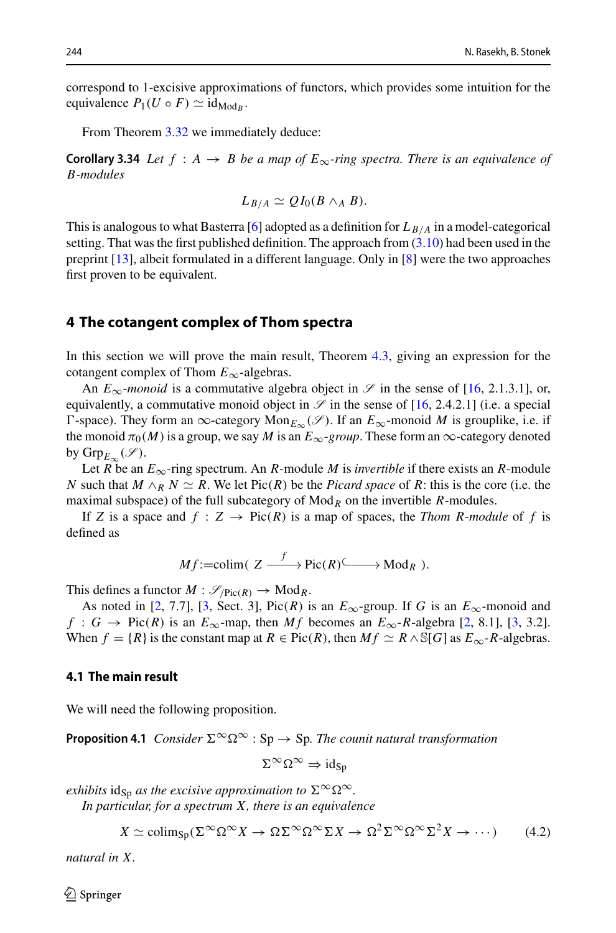correspond to 1-excisive approximations of functors, which provides some intuition for the equivalence  $P_1(U \circ F) \simeq id_{\text{Mod}_B}$ .

From Theorem [3.32](#page-13-0) we immediately deduce:

**Corollary 3.34** *Let*  $f : A \rightarrow B$  *be a map of*  $E_{\infty}$ *-ring spectra. There is an equivalence of B-modules*

<span id="page-15-0"></span>
$$
L_{B/A} \simeq QI_0(B \wedge_A B).
$$

This is analogous to what Basterra [\[6](#page-23-5)] adopted as a definition for  $L_{B/A}$  in a model-categorical setting. That was the first published definition. The approach from  $(3.10)$  had been used in the preprint [\[13\]](#page-23-4), albeit formulated in a different language. Only in [\[8](#page-23-6)] were the two approaches first proven to be equivalent.

### <span id="page-15-1"></span>**4 The cotangent complex of Thom spectra**

In this section we will prove the main result, Theorem [4.3,](#page-17-0) giving an expression for the cotangent complex of Thom *E*∞-algebras.

An  $E_{\infty}$ -*monoid* is a commutative algebra object in  $\mathscr{S}$  in the sense of [\[16](#page-23-3), 2.1.3.1], or, equivalently, a commutative monoid object in  $\mathscr S$  in the sense of [\[16,](#page-23-3) 2.4.2.1] (i.e. a special  $\Gamma$ -space). They form an ∞-category Mon<sub> $E_{\infty}$ </sub> $(\mathcal{S})$ . If an  $E_{\infty}$ -monoid *M* is grouplike, i.e. if the monoid  $\pi_0(M)$  is a group, we say M is an  $E_\infty$ -group. These form an  $\infty$ -category denoted by  $\mathrm{Grp}_{E_{\infty}}(\mathscr{S}).$ 

Let *R* be an  $E_{\infty}$ -ring spectrum. An *R*-module *M* is *invertible* if there exists an *R*-module *N* such that  $M \wedge_R N \simeq R$ . We let Pic(*R*) be the *Picard space* of *R*: this is the core (i.e. the maximal subspace) of the full subcategory of  $Mod_R$  on the invertible *R*-modules.

If *Z* is a space and  $f : Z \rightarrow Pic(R)$  is a map of spaces, the *Thom R-module* of *f* is defined as

$$
Mf:=\mathrm{colim}(|Z \xrightarrow{f} \mathrm{Pic}(R) \xrightarrow{\hspace{0.5cm}} \mathrm{Mod}_R).
$$

This defines a functor  $M : \mathcal{S}_{/Pic(R)} \to Mod_R$ .

As noted in [\[2](#page-22-1), 7.7], [\[3](#page-23-10), Sect. 3], Pic(*R*) is an  $E_{\infty}$ -group. If *G* is an  $E_{\infty}$ -monoid and *f* : *G* → Pic(*R*) is an  $E_{\infty}$ -map, then *Mf* becomes an  $E_{\infty}$ -*R*-algebra [\[2,](#page-22-1) 8.1], [\[3](#page-23-10), 3.2]. When  $f = \{R\}$  is the constant map at  $R \in Pic(R)$ , then  $Mf \simeq R \wedge \mathbb{S}[G]$  as  $E_{\infty}$ -*R*-algebras.

### **4.1 The main result**

<span id="page-15-3"></span>We will need the following proposition.

**Proposition 4.1** *Consider*  $\Sigma^{\infty} \Omega^{\infty}$  : Sp  $\rightarrow$  Sp. The counit natural transformation

$$
\Sigma^\infty\Omega^\infty\Rightarrow\mathrm{id}_{Sp}
$$

*exhibits*  $id_{Sp}$  *as the excisive approximation to*  $\Sigma^{\infty} \Omega^{\infty}$ *.* 

*In particular, for a spectrum X, there is an equivalence*

<span id="page-15-2"></span>
$$
X \simeq \text{colim}_{\text{Sp}}(\Sigma^{\infty} \Omega^{\infty} X \to \Omega \Sigma^{\infty} \Omega^{\infty} \Sigma X \to \Omega^2 \Sigma^{\infty} \Omega^{\infty} \Sigma^2 X \to \cdots)
$$
 (4.2)

*natural in X.*

 $\mathcal{L}$  Springer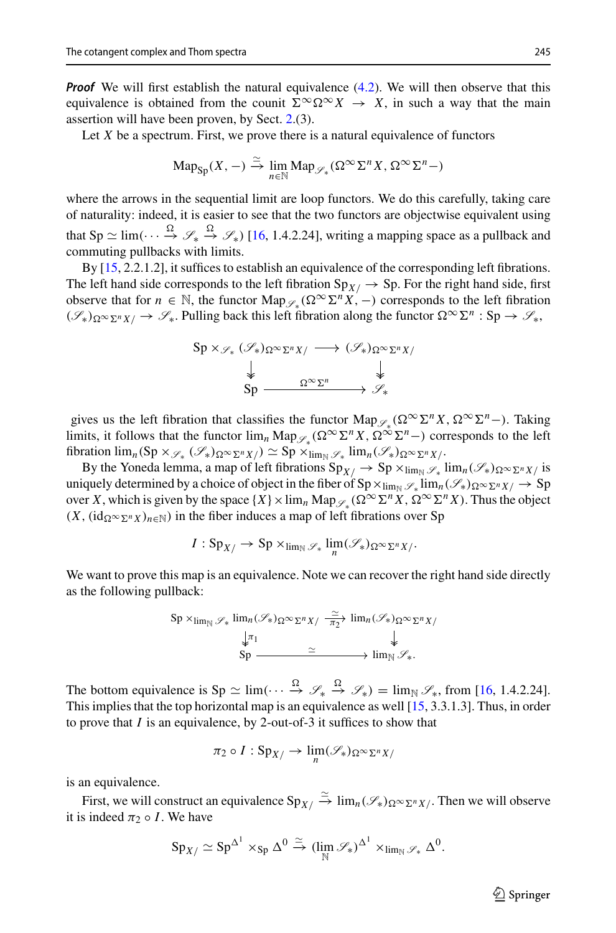*Proof* We will first establish the natural equivalence [\(4.2\)](#page-15-2). We will then observe that this equivalence is obtained from the counit  $\Sigma^{\infty} \Omega^{\infty} X \to X$ , in such a way that the main assertion will have been proven, by Sect. [2.](#page-4-0)(3).

Let  $X$  be a spectrum. First, we prove there is a natural equivalence of functors

$$
\mathrm{Map}_{\mathrm{Sp}}(X,-) \xrightarrow{\simeq} \lim_{n \in \mathbb{N}} \mathrm{Map}_{\mathscr{S}_*}(\Omega^\infty \Sigma^n X, \Omega^\infty \Sigma^n - )
$$

where the arrows in the sequential limit are loop functors. We do this carefully, taking care of naturality: indeed, it is easier to see that the two functors are objectwise equivalent using that  $\text{Sp} \simeq \lim(\cdots \overset{\Omega}{\rightarrow} \mathscr{S}_*) \longrightarrow \mathscr{S}_*$ ) [\[16](#page-23-3), 1.4.2.24], writing a mapping space as a pullback and commuting pullbacks with limits.

By [\[15](#page-23-12), 2.2.1.2], it suffices to establish an equivalence of the corresponding left fibrations. The left hand side corresponds to the left fibration  $Sp_{X/} \rightarrow Sp$ . For the right hand side, first observe that for  $n \in \mathbb{N}$ , the functor Map<sub>*&*</sub> ( $\Omega^{\infty} \Sigma^{n} X$ , –) corresponds to the left fibration  $(\mathscr{S}_*)_{\Omega} \propto_{\Sigma^n} \chi_{\Lambda} \to \mathscr{S}_*$ . Pulling back this left fibration along the functor  $\Omega^{\infty} \Sigma^n : Sp \to \mathscr{S}_*$ ,

$$
\begin{array}{ccc}\n\text{Sp} \times_{\mathscr{S}_{*}} (\mathscr{S}_{*})_{\Omega^{\infty} \Sigma^{n} X/} & \longrightarrow (\mathscr{S}_{*})_{\Omega^{\infty} \Sigma^{n} X/} \\
\downarrow & \downarrow & \downarrow \\
\text{Sp} & \xrightarrow{\Omega^{\infty} \Sigma^{n}} & \mathscr{S}_{*}\n\end{array}
$$

gives us the left fibration that classifies the functor Map<sub> $\varphi$  ( $\Omega^{\infty} \Sigma^{n} X$ ,  $\Omega^{\infty} \Sigma^{n}$ –). Taking</sub> limits, it follows that the functor  $\lim_{n} \text{Map}_{\mathscr{S}_*}(\Omega^{\infty} \Sigma^n X, \Omega^{\infty} \Sigma^n -)$  corresponds to the left  $fibration$   $\lim_{n} (Sp \times_{\mathscr{S}_{*}} (\mathscr{S}_{*})_{\Omega \infty} \Sigma^{n} X/) \simeq Sp \times_{\lim_{N} \mathscr{S}_{*}} \lim_{n} (\mathscr{S}_{*})_{\Omega \infty} \Sigma^{n} X/$ .

By the Yoneda lemma, a map of left fibrations  $Sp_{X}/\rightarrow Sp \times_{\text{lim}_{N}S_{*}} \lim_{n} (\mathscr{S}_{*})_{\Omega^{\infty}\Sigma^{n}X}$  is uniquely determined by a choice of object in the fiber of  $Sp \times_{\lim_{N} \mathscr{S}_*} \lim_{n} (\mathscr{S}_*)_{\Omega \infty} \Sigma^n X / \rightarrow Sp$ over *X*, which is given by the space  $\{X\} \times \lim_n \text{Map}_{\mathscr{S}_n} (\Omega^\infty \Sigma^n X, \Omega^\infty \Sigma^n X)$ . Thus the object  $(X, (\text{id}_{\Omega^{\infty} \Sigma^{n} X})_{n \in \mathbb{N}})$  in the fiber induces a map of left fibrations over Sp

$$
I: \mathrm{Sp}_{X}/\to \mathrm{Sp}\times_{\lim_{\mathbb{N}}\mathscr{S}_*}\lim_{n}(\mathscr{S}_*)_{\Omega^\infty\Sigma^nX}/.
$$

We want to prove this map is an equivalence. Note we can recover the right hand side directly as the following pullback:

$$
Sp \times_{\lim_{N} \mathscr{S}_{*}} \lim_{n} (\mathscr{S}_{*})_{\Omega} \infty_{\Sigma^{n} X/ \xrightarrow{\sim} \overline{\pi_{2}} \times} \lim_{n} (\mathscr{S}_{*})_{\Omega} \infty_{\Sigma^{n} X/ \xrightarrow{\downarrow} \mathscr{S}_{*}} \downarrow
$$
  
\n
$$
Sp \xrightarrow{\simeq} \lim_{N} \mathscr{S}_{*}.
$$

The bottom equivalence is  $\text{Sp} \simeq \lim_{(., . . , \frac{\Omega}{\rightarrow})} \mathcal{S}_* \xrightarrow{\Omega} \mathcal{S}_*) = \lim_{N \to \infty} \mathcal{S}_*$ , from [16, 1.4.2.24]. $\text{Sp} \simeq \lim_{(., . . , \frac{\Omega}{\rightarrow})} \mathcal{S}_* \xrightarrow{\Omega} \mathcal{S}_*) = \lim_{N \to \infty} \mathcal{S}_*$ , from [16, 1.4.2.24]. $\text{Sp} \simeq \lim_{(., . . , \frac{\Omega}{\rightarrow})} \mathcal{S}_* \xrightarrow{\Omega} \mathcal{S}_*) = \lim_{N \to \infty} \mathcal{S}_*$ , from [16, 1.4.2.24].This implies that the top horizontal map is an equivalence as well [\[15](#page-23-12), 3.3.1.3]. Thus, in order to prove that *I* is an equivalence, by 2-out-of-3 it suffices to show that

$$
\pi_2 \circ I : \mathrm{Sp}_{X/} \to \lim_{n} (\mathscr{S}_*)_{\Omega^\infty \Sigma^n X/}
$$

is an equivalence.

First, we will construct an equivalence  $Sp_{X/\nightharpoonup} \xrightarrow{\simeq} \lim_n(\mathscr{S}_*)_{\Omega \simeq \Sigma^n X/\nightharpoonup}$ . Then we will observe it is indeed  $\pi_2 \circ I$ . We have

$$
\mathrm{Sp}_{X/} \simeq \mathrm{Sp}^{\Delta^1} \times_{\mathrm{Sp}} \Delta^0 \xrightarrow{\simeq} (\lim_{\mathbb{N}} \mathscr{S}_*)^{\Delta^1} \times_{\lim_{\mathbb{N}} \mathscr{S}_*} \Delta^0.
$$

 $\circled{2}$  Springer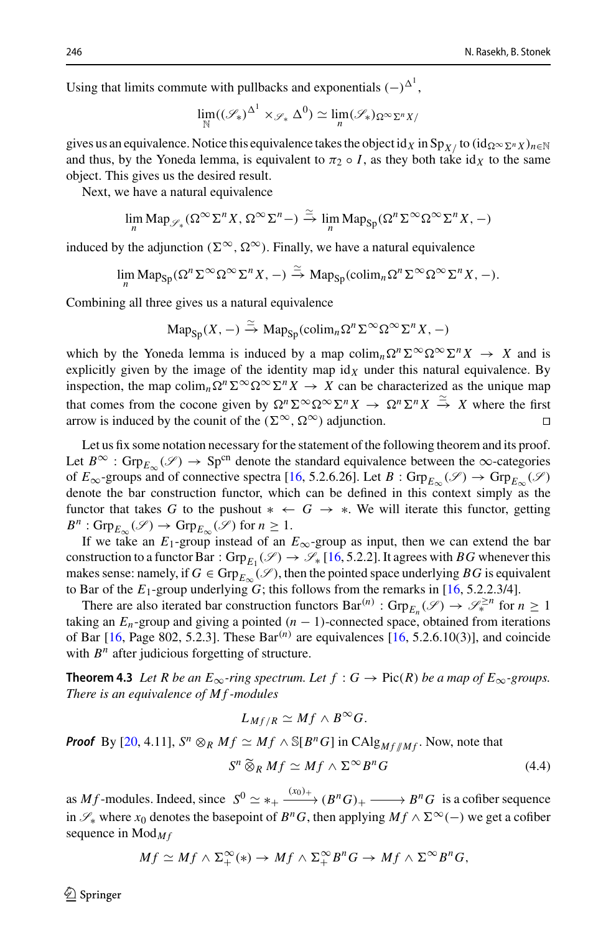Using that limits commute with pullbacks and exponentials  $(-)^{\Delta^1}$ ,

$$
\lim_{\mathbb{N}}((\mathscr{S}_*)^{\Delta^1}\times_{\mathscr{S}_*}\Delta^0)\simeq \lim_{n}(\mathscr{S}_*)_{\Omega^\infty\Sigma^nX/}
$$

gives us an equivalence. Notice this equivalence takes the object id *X* in  $\text{Sp}_{X}$ / to  $(\text{id}_{\Omega} \infty_{\Sigma} n_X)_{n \in \mathbb{N}}$ and thus, by the Yoneda lemma, is equivalent to  $\pi_2 \circ I$ , as they both take id<sub>X</sub> to the same object. This gives us the desired result.

Next, we have a natural equivalence

$$
\lim_{n} \mathrm{Map}_{\mathscr{S}_*}(\Omega^{\infty} \Sigma^n X, \Omega^{\infty} \Sigma^n -) \xrightarrow{\simeq} \lim_{n} \mathrm{Map}_{\mathrm{Sp}}(\Omega^n \Sigma^{\infty} \Omega^{\infty} \Sigma^n X, -)
$$

induced by the adjunction ( $\Sigma^{\infty}$ ,  $\Omega^{\infty}$ ). Finally, we have a natural equivalence

$$
\lim_{n} \mathrm{Map}_{\mathrm{Sp}}(\Omega^n \Sigma^{\infty} \Omega^{\infty} \Sigma^n X, -) \xrightarrow{\simeq} \mathrm{Map}_{\mathrm{Sp}}(\mathrm{colim}_n \Omega^n \Sigma^{\infty} \Omega^{\infty} \Sigma^n X, -).
$$

Combining all three gives us a natural equivalence

$$
\mathrm{Map}_{\mathrm{Sp}}(X,-) \xrightarrow{\simeq} \mathrm{Map}_{\mathrm{Sp}}(\mathrm{colim}_n \Omega^n \Sigma^\infty \Omega^\infty \Sigma^n X,-)
$$

which by the Yoneda lemma is induced by a map  $\text{colim}_n \Omega^n \Sigma^\infty \Omega^\infty \Sigma^n X \to X$  and is explicitly given by the image of the identity map  $\mathrm{id}_X$  under this natural equivalence. By inspection, the map colim<sub>n</sub> $\Omega^n \Sigma^\infty \Omega^\infty \Sigma^n X \to X$  can be characterized as the unique map that comes from the cocone given by  $\Omega^n \Sigma^\infty \Omega^\infty \Sigma^n X \to \Omega^n \Sigma^n X \stackrel{\simeq}{\to} X$  where the first arrow is induced by the counit of the ( $\Sigma^{\infty}$ ,  $\Omega^{\infty}$ ) adjunction.

Let us fix some notation necessary for the statement of the following theorem and its proof. Let  $B^{\infty}$ : Grp<sub>*E*</sub> ( $\mathscr{S}$ )  $\rightarrow$  Sp<sup>cn</sup> denote the standard equivalence between the  $\infty$ -categories of  $E_{\infty}$ -groups and of connective spectra [\[16,](#page-23-3) 5.2.6.26]. Let  $B : \text{Grp}_{E_{\infty}}(\mathscr{S}) \to \text{Grp}_{E_{\infty}}(\mathscr{S})$ denote the bar construction functor, which can be defined in this context simply as the functor that takes *G* to the pushout  $* \leftarrow G \rightarrow *$ . We will iterate this functor, getting  $B^n$ : Grp<sub>*E*∞</sub> (*S*)  $\rightarrow$  Grp<sub>*E*∞</sub> (*S*) for *n*  $\geq$  1.

If we take an  $E_1$ -group instead of an  $E_{\infty}$ -group as input, then we can extend the bar construction to a functor Bar:  $Grp_{F_1}(\mathscr{S}) \to \mathscr{S}_*[16, 5.2.2]$  $Grp_{F_1}(\mathscr{S}) \to \mathscr{S}_*[16, 5.2.2]$  $Grp_{F_1}(\mathscr{S}) \to \mathscr{S}_*[16, 5.2.2]$ . It agrees with *BG* whenever this makes sense: namely, if  $G \in \text{Grp}_{E_{\infty}}(\mathscr{S})$ , then the pointed space underlying *BG* is equivalent to Bar of the  $E_1$ -group underlying  $G$ ; this follows from the remarks in [\[16](#page-23-3), 5.2.2.3/4].

There are also iterated bar construction functors  $Bar^{(n)}$  :  $Grp_{F_n}(\mathscr{S}) \to \mathscr{S}_{*}^{\geq n}$  for  $n \geq 1$ taking an  $E_n$ -group and giving a pointed  $(n - 1)$ -connected space, obtained from iterations of Bar  $[16, Page 802, 5.2.3]$  $[16, Page 802, 5.2.3]$ . These Bar<sup>(n)</sup> are equivalences  $[16, 5.2.6.10(3)]$ , and coincide with  $B<sup>n</sup>$  after judicious forgetting of structure.

<span id="page-17-0"></span>**Theorem 4.3** Let R be an  $E_{\infty}$ -ring spectrum. Let  $f : G \to Pic(R)$  be a map of  $E_{\infty}$ -groups. *There is an equivalence of M f -modules*

$$
L_{Mf/R}\simeq Mf\wedge B^{\infty}G.
$$

*Proof* By [\[20](#page-23-14), 4.11],  $S^n \otimes_R Mf \simeq Mf \wedge \mathbb{S}[B^nG]$  in CAlg<sub>M f //</sub>*M*<sub>f</sub>. Now, note that  $L_M$ <br> $f \simeq$ <br> $S^n \widetilde{\otimes}$ 

<span id="page-17-1"></span>
$$
S^n \widetilde{\otimes}_R Mf \simeq Mf \wedge \Sigma^\infty B^nG \tag{4.4}
$$

as *Mf*-modules. Indeed, since  $S^0 \simeq *_+ \xrightarrow{(x_0)_+} (B^n G)_+ \longrightarrow B^n G$  is a cofiber sequence in  $\mathcal{S}_*$  where  $x_0$  denotes the basepoint of  $B^nG$ , then applying  $Mf \wedge \Sigma^\infty(-)$  we get a cofiber sequence in Mod<sub>Mf</sub>

$$
Mf \simeq Mf \wedge \Sigma^{\infty}_+(*) \to Mf \wedge \Sigma^{\infty}_+ B^nG \to Mf \wedge \Sigma^{\infty} B^nG,
$$

 $\mathcal{L}$  Springer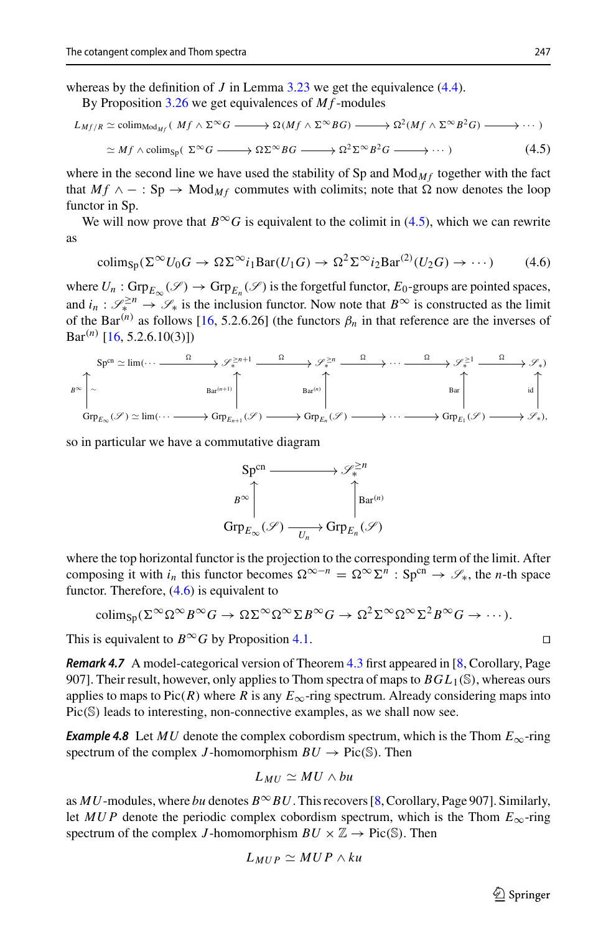whereas by the definition of *J* in Lemma [3.23](#page-10-3) we get the equivalence  $(4.4)$ .

By Proposition [3.26](#page-11-0) we get equivalences of *Mf*-modules

$$
L_{Mf/R} \simeq \text{colim}_{\text{Mod}_{Mf}} (Mf \wedge \Sigma^{\infty} G \longrightarrow \Omega(Mf \wedge \Sigma^{\infty} BG) \longrightarrow \Omega^2(Mf \wedge \Sigma^{\infty} B^2 G) \longrightarrow \cdots)
$$
  

$$
\simeq Mf \wedge \text{colim}_{\text{Sp}} (\Sigma^{\infty} G \longrightarrow \Omega \Sigma^{\infty} BG \longrightarrow \Omega^2 \Sigma^{\infty} B^2 G \longrightarrow \cdots)
$$
 (4.5)

where in the second line we have used the stability of Sp and  $Mod_{Mf}$  together with the fact that  $Mf \wedge -$ : Sp  $\rightarrow$  Mod<sub>Mf</sub> commutes with colimits; note that  $\Omega$  now denotes the loop functor in Sp.

We will now prove that  $B^{\infty}G$  is equivalent to the colimit in [\(4.5\)](#page-18-0), which we can rewrite as

<span id="page-18-1"></span><span id="page-18-0"></span>
$$
\text{colim}_{\text{Sp}}(\Sigma^{\infty}U_0G \to \Omega \Sigma^{\infty}i_1\text{Bar}(U_1G) \to \Omega^2\Sigma^{\infty}i_2\text{Bar}^{(2)}(U_2G) \to \cdots)
$$
 (4.6)

where  $U_n$ :  $\text{Grp}_{E_\infty}(\mathscr{S}) \to \text{Grp}_{E_n}(\mathscr{S})$  is the forgetful functor,  $E_0$ -groups are pointed spaces, and  $i_n$ :  $\mathscr{S}_{*}^{\geq n} \to \mathscr{S}_{*}$  is the inclusion functor. Now note that  $B^{\infty}$  is constructed as the limit of the Bar<sup>(*n*)</sup> as follows [\[16,](#page-23-3) 5.2.6.26] (the functors  $\beta_n$  in that reference are the inverses of  $Bar^{(n)}$  [\[16,](#page-23-3) 5.2.6.10(3)])

$$
\mathcal{B}^{\infty}\left[\sim\begin{array}{c} \text{Sp}^{cn}\simeq\text{lim}(\cdots\longrightarrow\begin{array}{c} \Omega\longrightarrow\mathscr{S}_{*}^{\geq n+1}\longrightarrow\mathscr{S}_{*}^{\geq n}\longrightarrow\mathscr{S}_{*}^{\geq 1}\longrightarrow\mathscr{S}_{*}\longrightarrow\mathscr{S}_{*}^{\geq 1}\longrightarrow\mathscr{S}_{*}\end{array}\right.\\\left.\begin{array}{c} \text{Br}^{n}\nearrow\\ \text{Grp}_{E_{\infty}}(\mathscr{S})\simeq\text{lim}(\cdots\longrightarrow\text{Grp}_{E_{n+1}}(\mathscr{S})\longrightarrow\text{Grp}_{E_{n}}(\mathscr{S})\longrightarrow\mathscr{S}_{*}\text{Hom}^{n}\end{array}\right] \hspace{0.2cm}\text{Bar}^{(n)}\left[\begin{array}{c} \text{Br}^{n}\nearrow\\ \text{Brp}_{E_{n}}(\mathscr{S})\longrightarrow\mathscr{S}_{*}\text{Im}(\mathscr{S})\longrightarrow\mathscr{S}_{*}\text{Im}(\mathscr{S})\longrightarrow\mathscr{S}_{*}\text{Im}(\mathscr{S})\longrightarrow\mathscr{S}_{*}\end{array}\right. \end{array}\right] \hspace{0.2cm}\text{Bar}^{(n+1)}\left[\begin{array}{c} \text{Brp}_{E_{\infty}}(\mathscr{S})\longrightarrow\text{Im}(\mathscr{S})\longrightarrow\mathscr{S}_{*}\text{Im}(\mathscr{S})\longrightarrow\mathscr{S}_{*}\text{Im}(\mathscr{S})\longrightarrow\mathscr{S}_{*}\text{Im}(\mathscr{S})\longrightarrow\mathscr{S}_{*}\text{Im}(\mathscr{S})\longrightarrow\mathscr{S}_{*}\text{Im}(\mathscr{S})\longrightarrow\mathscr{S}_{*}\text{Im}(\mathscr{S})\longrightarrow\mathscr{S}_{*}\text{Im}(\mathscr{S})\longrightarrow\mathscr{S}_{*}\text{Im}(\mathscr{S})\longrightarrow\mathscr{S}_{*}\text{Im}(\mathscr{S})\longrightarrow\mathscr{S}_{*}\text{Im}(\mathscr{S})\longrightarrow\mathscr{S}_{*}\text{Im}(\mathscr{S})\longrightarrow\mathscr{S}_{*}\text{Im}(\mathscr{S})\longrightarrow\mathscr{S}_{*}\text{Im}(\mathscr{S})\longrightarrow\mathscr{S}_{*}\text{Im}(\mathscr{S})\longrightarrow\mathscr{S}_{*}\text{Im}(\mathscr{S})\longrightarrow\mathscr{S}_{*}\text{
$$

so in particular we have a commutative diagram

$$
\mathsf{Sp}^{\mathsf{cn}} \longrightarrow \mathscr{S}_{*}^{\geq n}
$$
\n
$$
B^{\infty} \downarrow \qquad \qquad \uparrow
$$
\n
$$
\mathsf{Grp}_{E_{\infty}}(\mathscr{S}) \xrightarrow[U_{n}]{}
$$
\n
$$
\mathsf{Grp}_{E_{\infty}}(\mathscr{S}) \xrightarrow[U_{n}]{}
$$

where the top horizontal functor is the projection to the corresponding term of the limit. After composing it with  $i_n$  this functor becomes  $\Omega^{\infty-n} = \Omega^{\infty} \Sigma^n$ : Sp<sup>cn</sup>  $\rightarrow \mathscr{S}_*$ , the *n*-th space functor. Therefore, [\(4.6\)](#page-18-1) is equivalent to

$$
\text{colim}_{\text{Sp}}(\Sigma^{\infty} \Omega^{\infty} B^{\infty} G \to \Omega \Sigma^{\infty} \Omega^{\infty} \Sigma B^{\infty} G \to \Omega^2 \Sigma^{\infty} \Omega^{\infty} \Sigma^2 B^{\infty} G \to \cdots).
$$

This is equivalent to  $B^{\infty}G$  by Proposition [4.1.](#page-15-3)

*Remark 4.7* A model-categorical version of Theorem [4.3](#page-17-0) first appeared in [\[8,](#page-23-6) Corollary, Page 907]. Their result, however, only applies to Thom spectra of maps to *BGL*1(S), whereas ours applies to maps to Pic(*R*) where *R* is any  $E_{\infty}$ -ring spectrum. Already considering maps into Pic(S) leads to interesting, non-connective examples, as we shall now see.

<span id="page-18-2"></span>*Example 4.8* Let *MU* denote the complex cobordism spectrum, which is the Thom  $E_{\infty}$ -ring spectrum of the complex *J*-homomorphism  $BU \rightarrow Pic(\mathbb{S})$ . Then

$$
L_{MU} \simeq MU \wedge bu
$$

as *MU*-modules, where *bu* denotes *B*∞*BU*. This recovers [\[8,](#page-23-6) Corollary, Page 907]. Similarly, let *MUP* denote the periodic complex cobordism spectrum, which is the Thom  $E_{\infty}$ -ring spectrum of the complex *J*-homomorphism  $BU \times \mathbb{Z} \rightarrow Pic(\mathbb{S})$ . Then

$$
L_{MUP} \simeq MUP \wedge ku
$$

 $\circled{2}$  Springer

$$
\Box
$$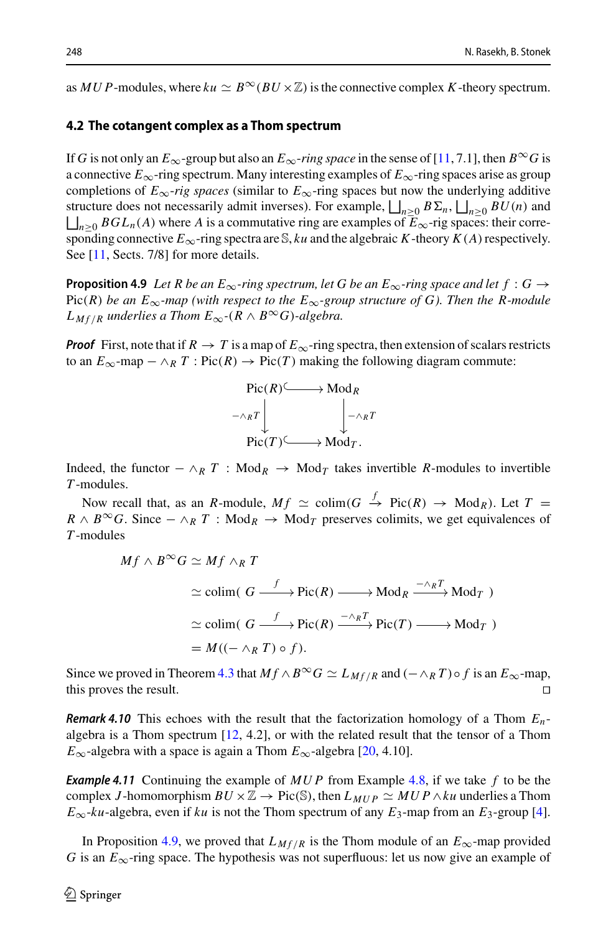as *MUP*-modules, where  $ku \simeq B^{\infty}(BU \times \mathbb{Z})$  is the connective complex *K*-theory spectrum.

### **4.2 The cotangent complex as a Thom spectrum**

If *G* is not only an  $E_{\infty}$ -group but also an  $E_{\infty}$ -*ring space* in the sense of [\[11,](#page-23-13) 7.1], then  $B^{\infty}G$  is a connective  $E_{\infty}$ -ring spectrum. Many interesting examples of  $E_{\infty}$ -ring spaces arise as group completions of  $E_{\infty}$ -rig spaces (similar to  $E_{\infty}$ -ring spaces but now the underlying additive If G is not only an  $E_{\infty}$ -group but also an  $E_{\infty}$ -ring space in the se<br>a connective  $E_{\infty}$ -ring spectrum. Many interesting examples of E<br>completions of  $E_{\infty}$ -rig spaces (similar to  $E_{\infty}$ -ring spaces but<br>stru structure does not necessarily admit inverses). For example,  $\bigsqcup_{n\geq 0} B\Sigma_n$ ,  $\bigsqcup_{n\geq 0} BU(n)$  and If (  $\bigsqcup_{n\geq 0} BGL_n(A)$  where *A* is a commutative ring are examples of  $\overline{E}_{\infty}$ -rig spaces: their corresponding connective  $E_{\infty}$ -ring spectra are S, *ku* and the algebraic *K*-theory  $K(A)$  respectively. See [\[11,](#page-23-13) Sects. 7/8] for more details.

<span id="page-19-0"></span>**Proposition 4.9** Let R be an  $E_{\infty}$ -ring spectrum, let G be an  $E_{\infty}$ -ring space and let  $f: G \rightarrow$ Pic(*R*) *be an*  $E_{\infty}$ -map (with respect to the  $E_{\infty}$ -group structure of G). Then the R-module *L M*<sub>*f*/*R*</sub> *underlies a Thom*  $E_{\infty}$ *-*( $R \wedge B^{\infty}$ *G*)*-algebra.* 

*Proof* First, note that if  $R \to T$  is a map of  $E_{\infty}$ -ring spectra, then extension of scalars restricts to an  $E_{\infty}$ -map −  $\wedge_R T$ : Pic(*R*) → Pic(*T*) making the following diagram commute:



Indeed, the functor  $-\wedge_R T$  : Mod<sub>R</sub>  $\rightarrow$  Mod<sub>T</sub> takes invertible *R*-modules to invertible *T* -modules.

Now recall that, as an *R*-module,  $Mf \simeq \text{colim}(G \overset{f}{\to} \text{Pic}(R) \to \text{Mod}_R)$ . Let  $T =$  $R \wedge B^{\infty}G$ . Since  $-\wedge_R T$ : Mod<sub>*R*</sub>  $\rightarrow$  Mod<sub>*T*</sub> preserves colimits, we get equivalences of *T* -modules

$$
Mf \wedge B^{\infty}G \simeq Mf \wedge_R T
$$
  
\n
$$
\simeq \text{colim}(\ G \xrightarrow{f} \text{Pic}(R) \longrightarrow \text{Mod}_R \xrightarrow{-\wedge_R T} \text{Mod}_T )
$$
  
\n
$$
\simeq \text{colim}(\ G \xrightarrow{f} \text{Pic}(R) \xrightarrow{-\wedge_R T} \text{Pic}(T) \longrightarrow \text{Mod}_T )
$$
  
\n
$$
= M((-\wedge_R T) \circ f).
$$

Since we proved in Theorem [4.3](#page-17-0) that  $Mf \wedge B^{\infty}G \simeq L_{Mf/R}$  and  $(-\wedge_R T) \circ f$  is an  $E_{\infty}$ -map, this proves the result. this proves the result.

*Remark 4.10* This echoes with the result that the factorization homology of a Thom *En*algebra is a Thom spectrum [\[12,](#page-23-17) 4.2], or with the related result that the tensor of a Thom  $E_{\infty}$ -algebra with a space is again a Thom  $E_{\infty}$ -algebra [\[20](#page-23-14), 4.10].

*Example 4.11* Continuing the example of *MU P* from Example [4.8,](#page-18-2) if we take *f* to be the complex *J*-homomorphism  $BU \times \mathbb{Z} \rightarrow Pic(\mathbb{S})$ , then  $L_{MUP} \simeq MUP \wedge ku$  underlies a Thom  $E_{\infty}$ -*ku*-algebra, even if *ku* is not the Thom spectrum of any  $E_3$ -map from an  $E_3$ -group [\[4\]](#page-23-18).

In Proposition [4.9,](#page-19-0) we proved that  $L_{Mf/R}$  is the Thom module of an  $E_{\infty}$ -map provided *G* is an  $E_{\infty}$ -ring space. The hypothesis was not superfluous: let us now give an example of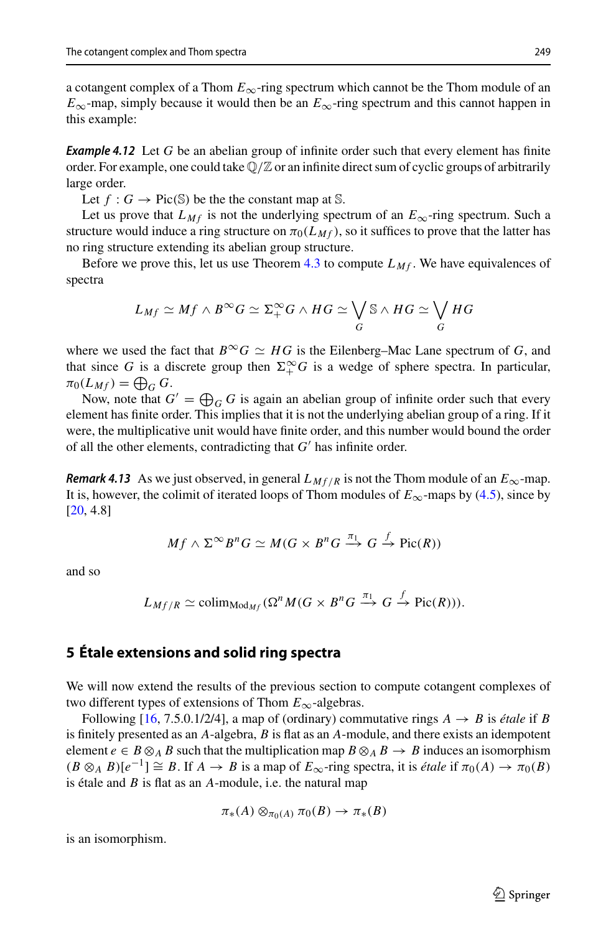a cotangent complex of a Thom  $E_{\infty}$ -ring spectrum which cannot be the Thom module of an  $E_{\infty}$ -map, simply because it would then be an  $E_{\infty}$ -ring spectrum and this cannot happen in this example:

**Example 4.12** Let G be an abelian group of infinite order such that every element has finite order. For example, one could take  $\mathbb{Q}/\mathbb{Z}$  or an infinite direct sum of cyclic groups of arbitrarily large order.

Let  $f: G \to Pic(S)$  be the the constant map at S.

Let us prove that  $L_{Mf}$  is not the underlying spectrum of an  $E_{\infty}$ -ring spectrum. Such a structure would induce a ring structure on  $\pi_0(L_M f)$ , so it suffices to prove that the latter has

no ring structure extending its abelian group structure.<br>
Before we prove this, let us use Theorem 4.3 to comp<br>
spectra<br>  $L_{Mf} \simeq Mf \wedge B^{\infty}G \simeq \Sigma^{\infty}_+ G \wedge HG \simeq \bigvee$ Before we prove this, let us use Theorem  $4.3$  to compute  $L_{Mf}$ . We have equivalences of spectra ute  $L_{Mf}$ . We ha<br>S ∧  $HG \simeq \bigvee$ 

$$
L_{Mf} \simeq Mf \wedge B^{\infty}G \simeq \Sigma^{\infty}_+G \wedge HG \simeq \bigvee_G \mathcal{S} \wedge HG \simeq \bigvee_G HG
$$

where we used the fact that  $B^{\infty}G \simeq HG$  is the Eilenberg–Mac Lane spectrum of *G*, and that since *G* is a discrete group then  $\Sigma^{\infty}_+ G$  is a wedge of sphere spectra. In particular, where we used<br>that since *G* is<br> $\pi_0(L_{Mf}) = \bigoplus$  $\pi_0(L_{Mf}) = \bigoplus_G G$ . ere we used the fact that<br>  $t$  since *G* is a discrete  $\{L_{Mf}$  =  $\bigoplus_G G$ .<br>
Now, note that  $G' = \bigoplus$ 

Now, note that  $G' = \bigoplus_{G} G$  is again an abelian group of infinite order such that every element has finite order. This implies that it is not the underlying abelian group of a ring. If it were, the multiplicative unit would have finite order, and this number would bound the order of all the other elements, contradicting that  $G'$  has infinite order.

*Remark 4.13* As we just observed, in general  $L_{Mf/R}$  is not the Thom module of an  $E_{\infty}$ -map. It is, however, the colimit of iterated loops of Thom modules of  $E_{\infty}$ -maps by [\(4.5\)](#page-18-0), since by [\[20,](#page-23-14) 4.8]

$$
Mf \wedge \Sigma^{\infty} B^n G \simeq M(G \times B^n G \xrightarrow{\pi_1} G \xrightarrow{f} \text{Pic}(R))
$$

and so

$$
L_{Mf/R} \simeq \text{colim}_{\text{Mod}_{Mf}}(\Omega^n M(G \times B^n G \xrightarrow{\pi_1} G \xrightarrow{f} \text{Pic}(R))).
$$

# <span id="page-20-0"></span>**5 Étale extensions and solid ring spectra**

We will now extend the results of the previous section to compute cotangent complexes of two different types of extensions of Thom *E*∞-algebras.

Following [\[16](#page-23-3), 7.5.0.1/2/4], a map of (ordinary) commutative rings  $A \rightarrow B$  is *étale* if *B* is finitely presented as an *A*-algebra, *B* is flat as an *A*-module, and there exists an idempotent element  $e \in B \otimes_A B$  such that the multiplication map  $B \otimes_A B \to B$  induces an isomorphism  $(B \otimes_A B)[e^{-1}] \cong B$ . If  $A \to B$  is a map of  $E_\infty$ -ring spectra, it is *étale* if  $\pi_0(A) \to \pi_0(B)$ is étale and *B* is flat as an *A*-module, i.e. the natural map

$$
\pi_*(A) \otimes_{\pi_0(A)} \pi_0(B) \to \pi_*(B)
$$

<span id="page-20-1"></span>is an isomorphism.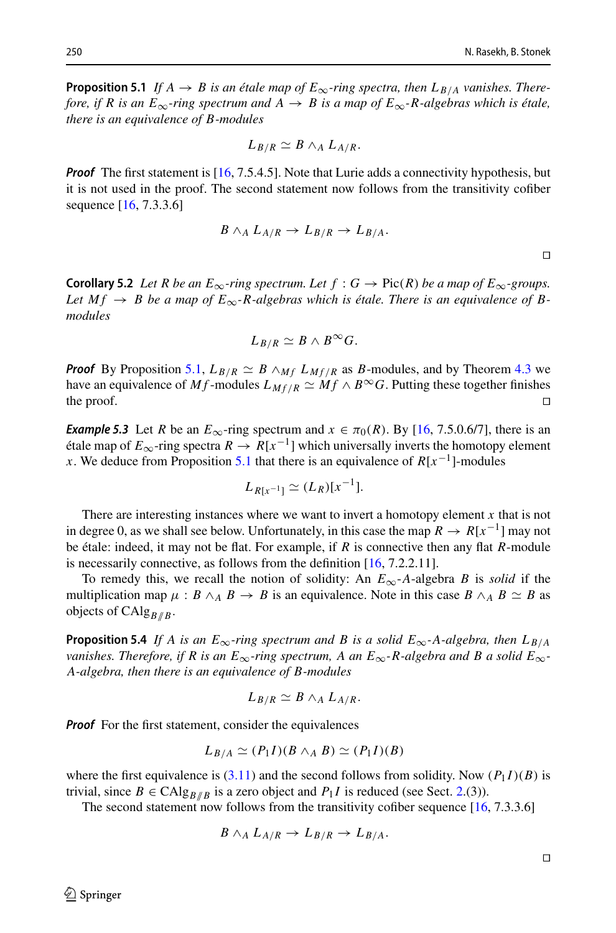**Proposition 5.1** *If*  $A \rightarrow B$  *is an étale map of*  $E_{\infty}$ *-ring spectra, then*  $L_{B/A}$  *vanishes. Therefore, if R is an E*<sub>∞</sub>-ring spectrum and  $A \rightarrow B$  is a map of  $E_{\infty}$ -R-algebras which is étale, *there is an equivalence of B-modules*

$$
L_{B/R} \simeq B \wedge_A L_{A/R}.
$$

*Proof* The first statement is [\[16,](#page-23-3) 7.5.4.5]. Note that Lurie adds a connectivity hypothesis, but it is not used in the proof. The second statement now follows from the transitivity cofiber sequence [\[16,](#page-23-3) 7.3.3.6]

$$
B \wedge_A L_{A/R} \to L_{B/R} \to L_{B/A}.
$$

<span id="page-21-0"></span>**Corollary 5.2** *Let R be an*  $E_{\infty}$ *-ring spectrum. Let f* :  $G \rightarrow Pic(R)$  *be a map of*  $E_{\infty}$ *-groups.* Let  $M f \rightarrow B$  be a map of  $E_{\infty}$ -R-algebras which is étale. There is an equivalence of B*modules*

$$
L_{B/R}\simeq B\wedge B^{\infty}G.
$$

*Proof* By Proposition [5.1,](#page-20-1)  $L_{B/R} \simeq B \wedge_{M} L_{Mf/R}$  as *B*-modules, and by Theorem [4.3](#page-17-0) we have an equivalence of *Mf* -modules  $L_{Mf/R} \simeq Mf \wedge B^{\infty}G$ . Putting these together finishes the proof. the proof.  $\Box$ 

<span id="page-21-2"></span>*Example 5.3* Let *R* be an  $E_{\infty}$ -ring spectrum and  $x \in \pi_0(R)$ . By [\[16,](#page-23-3) 7.5.0.6/7], there is an étale map of  $E_{\infty}$ -ring spectra  $R \to R[x^{-1}]$  which universally inverts the homotopy element *x*. We deduce from Proposition [5.1](#page-20-1) that there is an equivalence of  $R[x^{-1}]$ -modules

$$
L_{R[x^{-1}]} \simeq (L_R)[x^{-1}].
$$

There are interesting instances where we want to invert a homotopy element *x* that is not in degree 0, as we shall see below. Unfortunately, in this case the map  $R \to R[x^{-1}]$  may not be étale: indeed, it may not be flat. For example, if *R* is connective then any flat *R*-module is necessarily connective, as follows from the definition [\[16](#page-23-3), 7.2.2.11].

To remedy this, we recall the notion of solidity: An  $E_{\infty}$ -*A*-algebra *B* is *solid* if the multiplication map  $\mu : B \wedge_A B \to B$  is an equivalence. Note in this case  $B \wedge_A B \simeq B$  as objects of CAlg<sub>*B*//*B*</sub>.

<span id="page-21-1"></span>**Proposition 5.4** *If A is an E*<sub>∞</sub>-ring spectrum and *B* is a solid  $E_{\infty}$ -A-algebra, then  $L_{B/A}$ *vanishes. Therefore, if R is an*  $E_{\infty}$ *-ring spectrum, A an*  $E_{\infty}$ *-R-algebra and B a solid*  $E_{\infty}$ *-A-algebra, then there is an equivalence of B-modules*

$$
L_{B/R} \simeq B \wedge_A L_{A/R}.
$$

*Proof* For the first statement, consider the equivalences

$$
L_{B/A} \simeq (P_1I)(B \wedge_A B) \simeq (P_1I)(B)
$$

where the first equivalence is  $(3.11)$  and the second follows from solidity. Now  $(P_1 I)(B)$  is trivial, since  $B \in \text{CAlg}_{B/R}$  is a zero object and  $P_1 I$  is reduced (see Sect. [2.](#page-4-0)(3)).

The second statement now follows from the transitivity cofiber sequence [\[16](#page-23-3), 7.3.3.6]

$$
B \wedge_A L_{A/R} \to L_{B/R} \to L_{B/A}.
$$

 $\Box$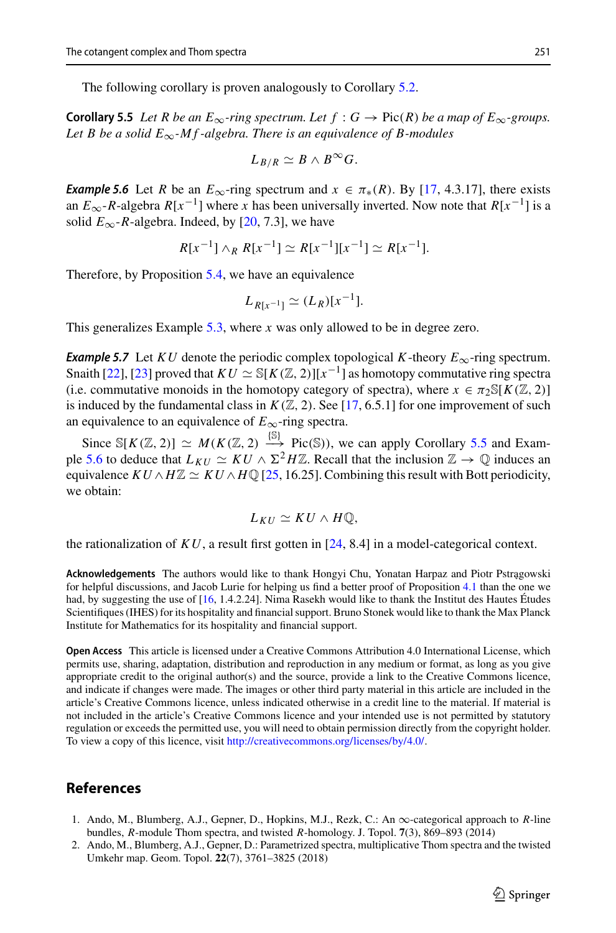<span id="page-22-2"></span>The following corollary is proven analogously to Corollary [5.2.](#page-21-0)

**Corollary 5.5** *Let R be an*  $E_{\infty}$ *-ring spectrum. Let f* :  $G \to Pic(R)$  *be a map of*  $E_{\infty}$ *-groups.* Let B be a solid  $E_{\infty}$ -M f-algebra. There is an equivalence of B-modules

$$
L_{B/R}\simeq B\wedge B^{\infty}G.
$$

<span id="page-22-3"></span>*Example 5.6* Let *R* be an  $E_{\infty}$ -ring spectrum and  $x \in \pi_*(R)$ . By [\[17,](#page-23-19) 4.3.17], there exists an  $E_{\infty}$ -*R*-algebra  $R[x^{-1}]$  where *x* has been universally inverted. Now note that  $R[x^{-1}]$  is a solid  $E_{\infty}$ -*R*-algebra. Indeed, by [\[20](#page-23-14), 7.3], we have

$$
R[x^{-1}] \wedge_R R[x^{-1}] \simeq R[x^{-1}][x^{-1}] \simeq R[x^{-1}].
$$

Therefore, by Proposition [5.4,](#page-21-1) we have an equivalence

$$
L_{R[x^{-1}]} \simeq (L_R)[x^{-1}].
$$

This generalizes Example [5.3,](#page-21-2) where *x* was only allowed to be in degree zero.

*Example 5.7* Let *KU* denote the periodic complex topological *K*-theory  $E_{\infty}$ -ring spectrum. Snaith [\[22\]](#page-23-20), [\[23\]](#page-23-21) proved that  $KU \simeq \mathbb{S}[K(\mathbb{Z}, 2)][x^{-1}]$  as homotopy commutative ring spectra (i.e. commutative monoids in the homotopy category of spectra), where  $x \in \pi_2 \mathbb{S}[K(\mathbb{Z}, 2)]$ is induced by the fundamental class in  $K(\mathbb{Z}, 2)$ . See [\[17,](#page-23-19) 6.5.1] for one improvement of such an equivalence to an equivalence of  $E_{\infty}$ -ring spectra.

Since  $\mathbb{S}[K(\mathbb{Z}, 2)] \simeq M(K(\mathbb{Z}, 2) \stackrel{\{\mathbb{S}\}}{\longrightarrow} \text{Pic}(\mathbb{S}))$ , we can apply Corollary [5.5](#page-22-2) and Exam-ple [5.6](#page-22-3) to deduce that  $L_{KU} \simeq KU \wedge \Sigma^2 H \mathbb{Z}$ . Recall that the inclusion  $\mathbb{Z} \to \mathbb{Q}$  induces an equivalence  $KU \wedge H\mathbb{Z} \simeq KU \wedge H\mathbb{Q}$  [\[25](#page-23-22), 16.25]. Combining this result with Bott periodicity, we obtain:

$$
L_{KU}\simeq KU\wedge H\mathbb{Q},
$$

the rationalization of  $KU$ , a result first gotten in [\[24,](#page-23-11) 8.4] in a model-categorical context.

**Acknowledgements** The authors would like to thank Hongyi Chu, Yonatan Harpaz and Piotr Pstragowski for helpful discussions, and Jacob Lurie for helping us find a better proof of Proposition [4.1](#page-15-3) than the one we had, by suggesting the use of [\[16,](#page-23-3) 1.4.2.24]. Nima Rasekh would like to thank the Institut des Hautes Études Scientifiques (IHES) for its hospitality and financial support. Bruno Stonek would like to thank the Max Planck Institute for Mathematics for its hospitality and financial support.

**Open Access** This article is licensed under a Creative Commons Attribution 4.0 International License, which permits use, sharing, adaptation, distribution and reproduction in any medium or format, as long as you give appropriate credit to the original author(s) and the source, provide a link to the Creative Commons licence, and indicate if changes were made. The images or other third party material in this article are included in the article's Creative Commons licence, unless indicated otherwise in a credit line to the material. If material is not included in the article's Creative Commons licence and your intended use is not permitted by statutory regulation or exceeds the permitted use, you will need to obtain permission directly from the copyright holder. To view a copy of this licence, visit [http://creativecommons.org/licenses/by/4.0/.](http://creativecommons.org/licenses/by/4.0/)

# **References**

- <span id="page-22-0"></span>1. Ando, M., Blumberg, A.J., Gepner, D., Hopkins, M.J., Rezk, C.: An ∞-categorical approach to *R*-line bundles, *R*-module Thom spectra, and twisted *R*-homology. J. Topol. **7**(3), 869–893 (2014)
- <span id="page-22-1"></span>2. Ando, M., Blumberg, A.J., Gepner, D.: Parametrized spectra, multiplicative Thom spectra and the twisted Umkehr map. Geom. Topol. **22**(7), 3761–3825 (2018)